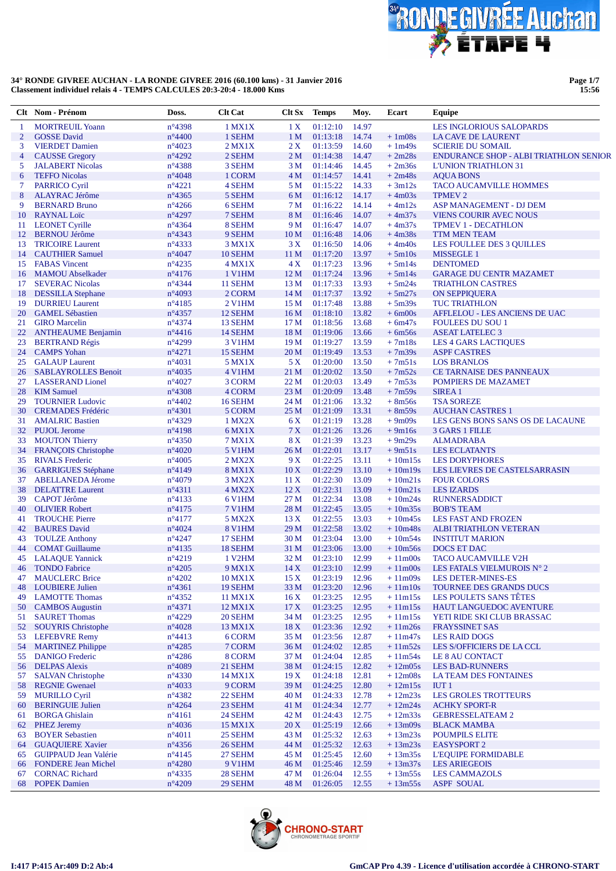

**Page 1/7 15:56**

|                | Clt Nom - Prénom                                 | Doss.                              | <b>Clt Cat</b>      | Clt Sx                | <b>Temps</b>         | Moy.           | Ecart                  | Equipe                                        |
|----------------|--------------------------------------------------|------------------------------------|---------------------|-----------------------|----------------------|----------------|------------------------|-----------------------------------------------|
| 1              | <b>MORTREUIL Yoann</b>                           | n°4398                             | 1 MX1X              | 1 X                   | 01:12:10             | 14.97          |                        | LES INGLORIOUS SALOPARDS                      |
| $\overline{2}$ | <b>GOSSE</b> David                               | $n^{\circ}4400$                    | 1 SEHM              | 1 <sub>M</sub>        | 01:13:18             | 14.74          | $+1m08s$               | LA CAVE DE LAURENT                            |
| 3              | <b>VIERDET Damien</b>                            | $n^{\circ}4023$                    | $2$ MX1X            | 2X                    | 01:13:59             | 14.60          | $+1m49s$               | <b>SCIERIE DU SOMAIL</b>                      |
| 4              | <b>CAUSSE</b> Gregory                            | n°4292                             | 2 SEHM              | 2 <sub>M</sub>        | 01:14:38             | 14.47          | $+2m28s$               | <b>ENDURANCE SHOP - ALBI TRIATHLON SENIOR</b> |
| 5              | <b>JALABERT Nicolas</b>                          | $n^{\circ}$ 4388                   | 3 SEHM              | 3 M                   | 01:14:46             | 14.45          | $+2m36s$               | <b>L'UNION TRIATHLON 31</b>                   |
| 6              | <b>TEFFO Nicolas</b>                             | $n^{\circ}4048$                    | 1 CORM              | 4 <sub>M</sub>        | 01:14:57             | 14.41          | $+2m48s$               | <b>AQUA BONS</b>                              |
| 7              | <b>PARRICO Cyril</b>                             | $n^{\circ}4221$                    | 4 SEHM              | 5 M                   | 01:15:22             | 14.33          | $+3m12s$               | <b>TACO AUCAMVILLE HOMMES</b>                 |
| 8              | <b>ALAYRAC Jérôme</b>                            | $n^{\circ}$ 4365                   | 5 SEHM              | 6 M                   | 01:16:12             | 14.17          | $+4m03s$               | <b>TPMEV 2</b>                                |
| 9              | <b>BERNARD Bruno</b>                             | $n^{\circ}4266$                    | 6 SEHM              | 7 M                   | 01:16:22             | 14.14          | $+4m12s$               | ASP MANAGEMENT - DJ DEM                       |
| 10             | <b>RAYNAL Loïc</b>                               | $n^{\circ}4297$                    | 7 SEHM              | 8 M                   | 01:16:46             | 14.07          | $+4m37s$               | <b>VIENS COURIR AVEC NOUS</b>                 |
| 11             | <b>LEONET Cyrille</b>                            | $n^{\circ}$ 4364                   | 8 SEHM              | 9 M                   | 01:16:47             | 14.07          | $+4m37s$               | <b>TPMEV 1 - DECATHLON</b>                    |
| 12             | <b>BERNOU Jérôme</b>                             | $n^{\circ}$ 4343                   | 9 SEHM              | 10 <sub>M</sub>       | 01:16:48             | 14.06          | $+4m38s$               | <b>TTM MEN TEAM</b>                           |
| 13             | <b>TRICOIRE Laurent</b>                          | $n^{\circ}$ 4333                   | 3 MX1X              | 3X                    | 01:16:50             | 14.06          | $+4m40s$               | LES FOULLEE DES 3 QUILLES                     |
| 14             | <b>CAUTHIER Samuel</b><br><b>FABAS</b> Vincent   | $n^{\circ}4047$                    | 10 SEHM<br>$4$ MX1X | 11 <sub>M</sub><br>4X | 01:17:20<br>01:17:23 | 13.97<br>13.96 | $+5m10s$<br>$+5m14s$   | <b>MISSEGLE 1</b><br><b>DENTOMED</b>          |
| 15<br>16       | <b>MAMOU</b> Abselkader                          | $n^{\circ}4235$<br>$n^{\circ}4176$ | 1 V1HM              | 12 M                  | 01:17:24             | 13.96          | $+5m14s$               | <b>GARAGE DU CENTR MAZAMET</b>                |
| 17             | <b>SEVERAC Nicolas</b>                           | $n^{\circ}$ 4344                   | 11 SEHM             | 13 <sub>M</sub>       | 01:17:33             | 13.93          | $+5m24s$               | <b>TRIATHLON CASTRES</b>                      |
| 18             | <b>DESSILLA</b> Stephane                         | $n^{\circ}4093$                    | 2 CORM              | 14 <sub>M</sub>       | 01:17:37             | 13.92          | $+5m27s$               | <b>ON SEPPIQUERA</b>                          |
| 19             | <b>DURRIEU Laurent</b>                           | $n^{\circ}4185$                    | 2 V1HM              | 15 <sub>M</sub>       | 01:17:48             | 13.88          | $+5m39s$               | <b>TUC TRIATHLON</b>                          |
| 20             | <b>GAMEL Sébastien</b>                           | $n^{\circ}$ 4357                   | 12 SEHM             | 16 <sub>M</sub>       | 01:18:10             | 13.82          | $+6m00s$               | AFFLELOU - LES ANCIENS DE UAC                 |
| 21             | <b>GIRO</b> Marcelin                             | $n^{\circ}4374$                    | 13 SEHM             | 17 <sub>M</sub>       | 01:18:56             | 13.68          | $+6m47s$               | <b>FOULEES DU SOU 1</b>                       |
| 22             | <b>ANTHEAUME Benjamin</b>                        | $n^{\circ}4416$                    | 14 SEHM             | 18 <sub>M</sub>       | 01:19:06             | 13.66          | $+6m56s$               | <b>ASEAT LATELEC 3</b>                        |
| 23             | <b>BERTRAND Régis</b>                            | $n^{\circ}4299$                    | 3 V1HM              | 19 <sub>M</sub>       | 01:19:27             | 13.59          | $+7m18s$               | <b>LES 4 GARS LACTIQUES</b>                   |
| 24             | <b>CAMPS Yohan</b>                               | $n^{\circ}4271$                    | 15 SEHM             | 20 <sub>M</sub>       | 01:19:49             | 13.53          | $+7m39s$               | <b>ASPF CASTRES</b>                           |
| 25             | <b>GALAUP Laurent</b>                            | $n^{\circ}4031$                    | 5 MX1X              | 5 X                   | 01:20:00             | 13.50          | $+7m51s$               | <b>LOS BRANLOS</b>                            |
| 26             | <b>SABLAYROLLES Benoit</b>                       | $n^{\circ}4035$                    | 4 V1HM              | 21 M                  | 01:20:02             | 13.50          | $+7m52s$               | CE TARNAISE DES PANNEAUX                      |
| 27             | <b>LASSERAND Lionel</b>                          | $n^{\circ}4027$                    | 3 CORM              | 22 M                  | 01:20:03             | 13.49          | $+7m53s$               | <b>POMPIERS DE MAZAMET</b>                    |
| 28             | <b>KIM Samuel</b>                                | $n^{\circ}4308$                    | 4 CORM              | 23 M                  | 01:20:09             | 13.48          | $+7m59s$               | <b>SIREA1</b>                                 |
| 29             | <b>TOURNIER Ludovic</b>                          | $n^{\circ}4402$                    | 16 SEHM             | 24 M                  | 01:21:06             | 13.32          | $+8m56s$               | <b>TSA SOREZE</b>                             |
| 30             | <b>CREMADES</b> Frédéric                         | $n^{\circ}4301$                    | 5 CORM              | 25 M                  | 01:21:09             | 13.31          | $+8m59s$               | <b>AUCHAN CASTRES 1</b>                       |
| 31             | <b>AMALRIC Bastien</b>                           | n°4329                             | 1 MX2X              | 6 X                   | 01:21:19             | 13.28          | $+9m09s$               | LES GENS BONS SANS OS DE LACAUNE              |
| 32             | <b>PUJOL Jerome</b>                              | $n^{\circ}4198$                    | 6 MX1X              | 7 X                   | 01:21:26             | 13.26          | $+9m16s$               | 3 GARS 1 FILLE                                |
| 33             | <b>MOUTON Thierry</b>                            | $n^{\circ}4350$                    | <b>7 MX1X</b>       | 8X                    | 01:21:39             | 13.23          | $+9m29s$               | <b>ALMADRABA</b>                              |
| 34             | <b>FRANÇOIS Christophe</b>                       | $n^{\circ}4020$                    | <b>5 V1HM</b>       | 26 M                  | 01:22:01             | 13.17          | $+9m51s$               | <b>LES ECLATANTS</b>                          |
| 35             | <b>RIVALS</b> Frederic                           | $n^{\circ}4005$                    | $2$ MX $2X$         | 9 X                   | 01:22:25             | 13.11          | $+10m15s$              | <b>LES DORYPHORES</b>                         |
| 36             | <b>GARRIGUES</b> Stéphane                        | $n^{\circ}4149$                    | <b>8 MX1X</b>       | 10X                   | 01:22:29             | 13.10          | $+10m19s$              | LES LIEVRES DE CASTELSARRASIN                 |
| 37             | <b>ABELLANEDA Jérome</b>                         | $n^{\circ}4079$                    | 3 MX2X              | 11 X                  | 01:22:30             | 13.09          | $+10m21s$              | <b>FOUR COLORS</b>                            |
| 38             | <b>DELATTRE Laurent</b>                          | $n^{\circ}4311$                    | 4 MX2X              | 12X                   | 01:22:31             | 13.09          | $+10m21s$              | <b>LES IZARDS</b>                             |
| 39             | <b>CAPOT</b> Jérôme                              | $n^{\circ}4133$                    | <b>6 V1HM</b>       | 27 M                  | 01:22:34             | 13.08          | $+10m24s$              | <b>RUNNERSADDICT</b>                          |
| 40             | <b>OLIVIER Robert</b>                            | $n^{\circ}4175$                    | <b>7 V1HM</b>       | 28 M                  | 01:22:45             | 13.05          | $+10m35s$              | <b>BOB'S TEAM</b>                             |
| 41             | <b>TROUCHE Pierre</b>                            | $n^{\circ}4177$                    | 5 MX2X              | 13X                   | 01:22:55             | 13.03          | $+10m45s$              | <b>LES FAST AND FROZEN</b>                    |
| 42             | <b>BAURES</b> David                              | $n^{\circ}4024$                    | <b>8 V1HM</b>       | 29 M                  | 01:22:58             | 13.02          | $+10m48s$              | <b>ALBI TRIATHLON VETERAN</b>                 |
| 43             | <b>TOULZE Anthony</b>                            | $n^{\circ}4247$                    | 17 SEHM             | 30 M                  | 01:23:04             | 13.00          | $+10m54s$              | <b>INSTITUT MARION</b>                        |
| 44             | <b>COMAT</b> Guillaume                           | $n^{\circ}4135$                    | 18 SEHM             | 31 M                  | 01:23:06             | 13.00          | $+10m56s$              | DOCS ET DAC                                   |
|                | 45 LALAQUE Yannick                               | $n^{\circ}4219$                    | 1 V <sub>2</sub> HM | 32 M                  | 01:23:10             | 12.99          | $+11m00s$              | <b>TACO AUCAMVILLE V2H</b>                    |
|                | 46 TONDO Fabrice                                 | $n^{\circ}4205$                    | 9 MX1X              |                       | 14 X 01:23:10 12.99  |                | $+11m00s$              | LES FATALS VIELMUROIS N° 2                    |
| 47             | <b>MAUCLERC Brice</b>                            | $n^{\circ}4202$                    | 10 MX1X             | 15 <sub>X</sub>       | 01:23:19 12.96       |                | $+11m09s$              | <b>LES DETER-MINES-ES</b>                     |
| 48             | <b>LOUBIERE Julien</b>                           | $n^{\circ}4361$                    | 19 SEHM             | 33 M                  | 01:23:20             | 12.96          | $+11m10s$              | TOURNEE DES GRANDS DUCS                       |
| 49             | <b>LAMOTTE Thomas</b>                            | $n^{\circ}4352$                    | 11 MX1X             | 16X                   | 01:23:25             | 12.95          | $+11m15s$              | LES POULETS SANS TÊTES                        |
| 50             | <b>CAMBOS</b> Augustin                           | $n^{\circ}4371$                    | 12 MX1X             | 17X                   | 01:23:25             | 12.95          | $+11m15s$              | <b>HAUT LANGUEDOC AVENTURE</b>                |
| 51             | <b>SAURET Thomas</b>                             | $n^{\circ}4229$                    | 20 SEHM             | 34 M                  | 01:23:25             | 12.95          | $+11m15s$<br>$+11m26s$ | YETI RIDE SKI CLUB BRASSAC                    |
| 52             | <b>SOUYRIS Christophe</b>                        | $n^{\circ}4028$                    | 13 MX1X<br>6 CORM   | 18X                   | 01:23:36             | 12.92<br>12.87 |                        | <b>FRAYSSINET SAS</b>                         |
| 53             | <b>LEFEBVRE Remy</b><br><b>MARTINEZ Philippe</b> | $n^{\circ}4413$<br>$n^{\circ}4285$ | 7 CORM              | 35 M                  | 01:23:56             | 12.85          | $+11m47s$              | <b>LES RAID DOGS</b>                          |
| 54             | <b>DANIGO</b> Frederic                           | $n^{\circ}4286$                    | 8 CORM              | 36 M<br>37 M          | 01:24:02<br>01:24:04 | 12.85          | $+11m52s$<br>$+11m54s$ | LES S/OFFICIERS DE LA CCL                     |
| 55<br>56       | <b>DELPAS Alexis</b>                             | $n^{\circ}4089$                    | 21 SEHM             | 38 M                  | 01:24:15             | 12.82          | $+12m05s$              | LE 8 AU CONTACT<br><b>LES BAD-RUNNERS</b>     |
| 57             | <b>SALVAN Christophe</b>                         | $n^{\circ}4330$                    | 14 MX1X             | 19X                   | 01:24:18             | 12.81          | $+12m08s$              | LA TEAM DES FONTAINES                         |
| 58             | <b>REGNIE Gwenael</b>                            | $n^{\circ}4033$                    | 9 CORM              | 39 M                  | 01:24:25             | 12.80          | $+12m15s$              | IUT1                                          |
| 59             | <b>MURILLO Cyril</b>                             | $n^{\circ}4382$                    | 22 SEHM             | 40 M                  | 01:24:33             | 12.78          | $+12m23s$              | <b>LES GROLES TROTTEURS</b>                   |
| 60             | <b>BERINGUIE Julien</b>                          | $n^{\circ}4264$                    | 23 SEHM             | 41 M                  | 01:24:34             | 12.77          | $+12m24s$              | <b>ACHKY SPORT-R</b>                          |
| 61             | <b>BORGA Ghislain</b>                            | $n^{\circ}4161$                    | 24 SEHM             | 42 M                  | 01:24:43             | 12.75          | $+12m33s$              | <b>GEBRESSELATEAM 2</b>                       |
| 62             | <b>PHEZ Jeremy</b>                               | $n^{\circ}4036$                    | 15 MX1X             | 20 X                  | 01:25:19             | 12.66          | $+13m09s$              | <b>BLACK MAMBA</b>                            |
| 63             | <b>BOYER Sebastien</b>                           | $n^{\circ}4011$                    | 25 SEHM             | 43 M                  | 01:25:32             | 12.63          | $+13m23s$              | <b>POUMPILS ELITE</b>                         |
| 64             | <b>GUAQUIERE Xavier</b>                          | $n^{\circ}$ 4356                   | 26 SEHM             | 44 M                  | 01:25:32             | 12.63          | $+13m23s$              | <b>EASYSPORT 2</b>                            |
| 65             | <b>GUIPPAUD Jean Valérie</b>                     | $n^{\circ}4145$                    | 27 SEHM             | 45 M                  | 01:25:45             | 12.60          | $+13m35s$              | <b>L'EQUIPE FORMIDABLE</b>                    |
| 66             | <b>FONDERE Jean Michel</b>                       | $n^{\circ}4280$                    | 9 V1HM              | 46 M                  | 01:25:46             | 12.59          | $+13m37s$              | <b>LES ARIEGEOIS</b>                          |
| 67             | <b>CORNAC Richard</b>                            | $n^{\circ}$ 4335                   | 28 SEHM             | 47 M                  | 01:26:04             | 12.55          | $+13m55s$              | <b>LES CAMMAZOLS</b>                          |
| 68             | <b>POPEK Damien</b>                              | $n^{\circ}4209$                    | 29 SEHM             | 48 M                  | 01:26:05             | 12.55          | $+13m55s$              | <b>ASPF SOUAL</b>                             |

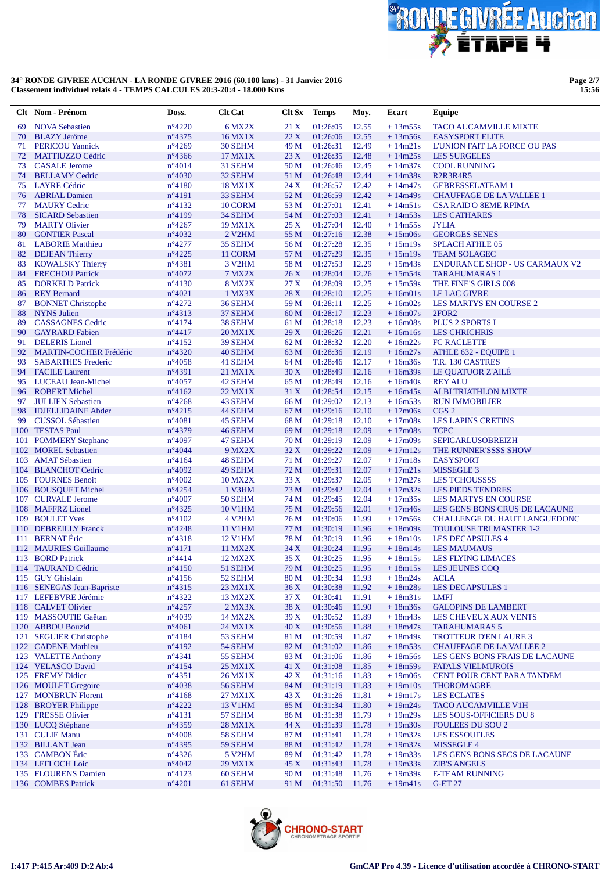

**Page 2/7 15:56**

|          | Clt Nom - Prénom                                      | Doss.                              | <b>Clt Cat</b>                        |                 | Clt Sx Temps         | Moy.           | Ecart                  | <b>Equipe</b>                                   |
|----------|-------------------------------------------------------|------------------------------------|---------------------------------------|-----------------|----------------------|----------------|------------------------|-------------------------------------------------|
| 69       | <b>NOVA Sebastien</b>                                 | $n^{\circ}4220$                    | 6 MX2X                                | 21 X            | 01:26:05             | 12.55          | $+13m55s$              | <b>TACO AUCAMVILLE MIXTE</b>                    |
| 70       | <b>BLAZY Jérôme</b>                                   | $n^{\circ}4375$                    | 16 MX1X                               | 22X             | 01:26:06             | 12.55          | $+13m56s$              | <b>EASYSPORT ELITE</b>                          |
| 71       | <b>PERICOU Yannick</b>                                | $n^{\circ}4269$                    | 30 SEHM                               | 49 M            | 01:26:31             | 12.49          | $+14m21s$              | L'UNION FAIT LA FORCE OU PAS                    |
| 72       | <b>MATTIUZZO Cédric</b>                               | $n^{\circ}$ 4366                   | 17 MX1X                               | 23X             | 01:26:35             | 12.48          | $+14m25s$              | <b>LES SURGELES</b>                             |
| 73       | <b>CASALE</b> Jerome                                  | $n^{\circ}4014$                    | 31 SEHM                               | 50 M            | 01:26:46             | 12.45          | $+14m37s$              | <b>COOL RUNNING</b>                             |
| 74       | <b>BELLAMY Cedric</b>                                 | $n^{\circ}4030$                    | 32 SEHM                               | 51 M            | 01:26:48             | 12.44          | $+14m38s$              | <b>R2R3R4R5</b>                                 |
| 75       | <b>LAYRE</b> Cédric                                   | $n^{\circ}4180$                    | <b>18 MX1X</b>                        | 24 X            | 01:26:57             | 12.42          | $+14m47s$              | <b>GEBRESSELATEAM 1</b>                         |
| 76       | <b>ABRIAL Damien</b>                                  | $n^{\circ}4191$                    | 33 SEHM                               | 52 M            | 01:26:59             | 12.42          | $+14m49s$              | <b>CHAUFFAGE DE LA VALLEE 1</b>                 |
| 77       | <b>MAURY Cedric</b>                                   | $n^{\circ}4132$                    | 10 CORM                               | 53 M            | 01:27:01             | 12.41          | $+14m51s$              | <b>CSA RAID'O 8EME RPIMA</b>                    |
| 78       | <b>SICARD Sebastien</b>                               | $n^{\circ}4199$                    | 34 SEHM                               | 54 M            | 01:27:03             | 12.41          | $+14m53s$              | <b>LES CATHARES</b>                             |
| 79<br>80 | <b>MARTY Olivier</b><br><b>GONTIER Pascal</b>         | $n^{\circ}4267$<br>$n^{\circ}4032$ | <b>19 MX1X</b><br>2 V <sub>2</sub> HM | 25 X<br>55 M    | 01:27:04<br>01:27:16 | 12.40<br>12.38 | $+14m55s$<br>$+15m06s$ | <b>JYLIA</b><br><b>GEORGES SENES</b>            |
| 81       | <b>LABORIE Matthieu</b>                               | $n^{\circ}4277$                    | 35 SEHM                               | 56 M            | 01:27:28             | 12.35          | $+15m19s$              | <b>SPLACH ATHLE 05</b>                          |
| 82       | <b>DEJEAN Thierry</b>                                 | $n^{\circ}4225$                    | 11 CORM                               | 57 M            | 01:27:29             | 12.35          | $+15m19s$              | <b>TEAM SOLAGEC</b>                             |
| 83       | <b>KOWALSKY Thierry</b>                               | $n^{\circ}4381$                    | 3 V <sub>2</sub> HM                   | 58 M            | 01:27:53             | 12.29          | $+15m43s$              | <b>ENDURANCE SHOP - US CARMAUX V2</b>           |
| 84       | <b>FRECHOU Patrick</b>                                | $n^{\circ}4072$                    | <b>7 MX2X</b>                         | 26X             | 01:28:04             | 12.26          | $+15m54s$              | <b>TARAHUMARAS 1</b>                            |
| 85       | <b>DORKELD Patrick</b>                                | $n^{\circ}4130$                    | <b>8 MX2X</b>                         | 27X             | 01:28:09             | 12.25          | $+15m59s$              | THE FINE'S GIRLS 008                            |
| 86       | <b>REY Bernard</b>                                    | $n^{\circ}4021$                    | 1 MX3X                                | 28 X            | 01:28:10             | 12.25          | $+16m01s$              | <b>LE LAC GIVRE</b>                             |
| 87       | <b>BONNET</b> Christophe                              | $n^{\circ}4272$                    | 36 SEHM                               | 59 M            | 01:28:11             | 12.25          | $+16m02s$              | <b>LES MARTYS EN COURSE 2</b>                   |
| 88       | <b>NYNS</b> Julien                                    | $n^{\circ}4313$                    | 37 SEHM                               | 60 M            | 01:28:17             | 12.23          | $+16m07s$              | 2FOR <sub>2</sub>                               |
| 89       | <b>CASSAGNES Cedric</b>                               | $n^{\circ}4174$                    | 38 SEHM                               | 61 M            | 01:28:18             | 12.23          | $+16m08s$              | <b>PLUS 2 SPORTS I</b>                          |
| 90       | <b>GAYRARD</b> Fabien                                 | $n^{\circ}4417$                    | 20 MX1X                               | 29X             | 01:28:26             | 12.21          | $+16m16s$              | <b>LES CHRICHRIS</b>                            |
| 91       | <b>DELERIS</b> Lionel                                 | $n^{\circ}4152$                    | 39 SEHM                               | 62 M            | 01:28:32             | 12.20          | $+16m22s$              | <b>FC RACLETTE</b>                              |
| 92       | <b>MARTIN-COCHER Frédéric</b>                         | $n^{\circ}4320$                    | 40 SEHM                               | 63 M            | 01:28:36             | 12.19          | $+16m27s$              | ATHLE 632 - EQUIPE 1                            |
| 93       | <b>SABARTHES Frederic</b>                             | $n^{\circ}4058$                    | 41 SEHM                               | 64 M            | 01:28:46             | 12.17          | $+16m36s$              | T.R. 130 CASTRES                                |
| 94       | <b>FACILE Laurent</b>                                 | $n^{\circ}4391$                    | 21 MX1X                               | 30X             | 01:28:49             | 12.16          | $+16m39s$              | LE QUATUOR Z'AILÉ                               |
| 95       | <b>LUCEAU Jean-Michel</b>                             | $n^{\circ}4057$                    | 42 SEHM                               | 65 M            | 01:28:49             | 12.16          | $+16m40s$              | <b>REY ALU</b>                                  |
| 96       | <b>ROBERT Michel</b>                                  | $n^{\circ}4162$                    | 22 MX1X                               | 31 X            | 01:28:54             | 12.15<br>12.13 | $+16m45s$              | <b>ALBI TRIATHLON MIXTE</b>                     |
| 97<br>98 | <b>JULLIEN Sebastien</b><br><b>IDJELLIDAINE Abder</b> | $n^{\circ}4268$<br>$n^{\circ}4215$ | 43 SEHM<br>44 SEHM                    | 66 M<br>67 M    | 01:29:02<br>01:29:16 | 12.10          | $+16m53s$<br>$+17m06s$ | <b>RUN IMMOBILIER</b><br>CGS <sub>2</sub>       |
| 99       | <b>CUSSOL Sébastien</b>                               | $n^{\circ}4081$                    | 45 SEHM                               | 68 M            | 01:29:18             | 12.10          | $+17m08s$              | <b>LES LAPINS CRETINS</b>                       |
|          | 100 TESTAS Paul                                       | $n^{\circ}4379$                    | 46 SEHM                               | 69 M            | 01:29:18             | 12.09          | $+17m08s$              | <b>TCPC</b>                                     |
| 101      | <b>POMMERY Stephane</b>                               | $n^{\circ}4097$                    | 47 SEHM                               | 70 M            | 01:29:19             | 12.09          | $+17m09s$              | <b>SEPICARLUSOBREIZH</b>                        |
|          | 102 MOREL Sebastien                                   | $n^{\circ}4044$                    | <b>9 MX2X</b>                         | 32 X            | 01:29:22             | 12.09          | $+17m12s$              | THE RUNNER'SSSS SHOW                            |
|          | 103 AMAT Sébastien                                    | $n^{\circ}4164$                    | 48 SEHM                               | 71 M            | 01:29:27             | 12.07          | $+17m18s$              | <b>EASYSPORT</b>                                |
|          | 104 BLANCHOT Cedric                                   | $n^{\circ}4092$                    | 49 SEHM                               | 72 M            | 01:29:31             | 12.07          | $+17m21s$              | MISSEGLE 3                                      |
|          | 105 FOURNES Benoit                                    | $n^{\circ}4002$                    | <b>10 MX2X</b>                        | 33 X            | 01:29:37             | 12.05          | $+17m27s$              | <b>LES TCHOUSSSS</b>                            |
|          | 106 BOUSQUET Michel                                   | $n^{\circ}4254$                    | 1 V3HM                                | 73 M            | 01:29:42             | 12.04          | $+17m32s$              | <b>LES PIEDS TENDRES</b>                        |
|          | 107 CURVALE Jerome                                    | $n^{\circ}4007$                    | 50 SEHM                               | 74 M            | 01:29:45             | 12.04          | $+17m35s$              | LES MARTYS EN COURSE                            |
|          | 108 MAFFRZ Lionel                                     | $n^{\circ}4325$                    | <b>10 V1HM</b>                        | 75 M            | 01:29:56             | 12.01          | $+17m46s$              | LES GENS BONS CRUS DE LACAUNE                   |
|          | 109 BOULET Yves                                       | $n^{\circ}4102$                    | 4 V <sub>2</sub> HM                   | 76 M            | 01:30:06             | 11.99          | $+17m56s$              | CHALLENGE DU HAUT LANGUEDONC                    |
|          | 110 DEBREILLY Franck                                  | $n^{\circ}4248$                    | <b>11 V1HM</b>                        | 77 M            | 01:30:19             | 11.96          | $+18m09s$              | <b>TOULOUSE TRI MASTER 1-2</b>                  |
|          | 111 BERNAT Éric                                       | $n^{\circ}4318$                    | 12 V1HM                               | 78 M            | 01:30:19             | 11.96          | $+18m10s$              | <b>LES DECAPSULES 4</b>                         |
|          | 112 MAURIES Guillaume                                 | $n^{\circ}4171$                    | 11 MX2X                               | 34 X            | 01:30:24             | 11.95          | $+18m14s$              | <b>LES MAUMAUS</b>                              |
|          | 113 BORD Patrick                                      | $n^{\circ}4414$<br>$n^{\circ}4150$ | 12 MX2X                               | 35 <sub>X</sub> | 01:30:25             | 11.95          | $+18m15s$              | <b>LES FLYING LIMACES</b>                       |
|          | 114 TAURAND Cédric<br>115 GUY Ghislain                | $n^{\circ}4156$                    | 51 SEHM<br>52 SEHM                    | 79 M<br>80 M    | 01:30:25<br>01:30:34 | 11.95<br>11.93 | $+18m15s$<br>$+18m24s$ | LES JEUNES COQ<br><b>ACLA</b>                   |
|          | 116 SENEGAS Jean-Bapriste                             | $n^{\circ}4315$                    | 23 MX1X                               | 36 X            | 01:30:38             | 11.92          | $+18m28s$              | <b>LES DECAPSULES 1</b>                         |
|          | 117 LEFEBVRE Jérémie                                  | $n^{\circ}4322$                    | 13 MX2X                               | 37 X            | 01:30:41             | 11.91          | $+18m31s$              | <b>LMFJ</b>                                     |
|          | 118 CALVET Olivier                                    | $n^{\circ}4257$                    | $2$ MX $3X$                           | 38 X            | 01:30:46             | 11.90          | $+18m36s$              | <b>GALOPINS DE LAMBERT</b>                      |
|          | 119 MASSOUTIE Gaëtan                                  | $n^{\circ}4039$                    | 14 MX2X                               | 39 X            | 01:30:52             | 11.89          | $+18m43s$              | LES CHEVEUX AUX VENTS                           |
|          | 120 ABBOU Bouzid                                      | $n^{\circ}4061$                    | 24 MX1X                               | 40 X            | 01:30:56             | 11.88          | $+18m47s$              | <b>TARAHUMARAS 5</b>                            |
|          | 121 SEGUIER Christophe                                | $n^{\circ}4184$                    | 53 SEHM                               | 81 M            | 01:30:59             | 11.87          | $+18m49s$              | <b>TROTTEUR D'EN LAURE 3</b>                    |
|          | 122 CADENE Mathieu                                    | $n^{\circ}4192$                    | 54 SEHM                               | 82 M            | 01:31:02             | 11.86          | $+18m53s$              | <b>CHAUFFAGE DE LA VALLEE 2</b>                 |
|          | 123 VALETTE Anthony                                   | $n^{\circ}4341$                    | 55 SEHM                               | 83 M            | 01:31:06             | 11.86          | $+18m56s$              | LES GENS BONS FRAIS DE LACAUNE                  |
|          | 124 VELASCO David                                     | $n^{\circ}4154$                    | 25 MX1X                               | 41 X            | 01:31:08             | 11.85          | $+18m59s$              | <b>FATALS VIELMUROIS</b>                        |
|          | 125 FREMY Didier                                      | $n^{\circ}4351$                    | 26 MX1X                               | 42 X            | 01:31:16             | 11.83          | $+19m06s$              | CENT POUR CENT PARA TANDEM                      |
|          | 126 MOULET Gregoire                                   | $n^{\circ}4038$                    | 56 SEHM                               | 84 M            | 01:31:19             | 11.83          | $+19m10s$              | <b>THOROMAGRE</b>                               |
|          | 127 MONBRUN Florent                                   | $n^{\circ}4168$                    | 27 MX1X                               | 43 X            | 01:31:26             | 11.81          | $+19m17s$              | <b>LES ECLATES</b>                              |
|          | 128 BROYER Philippe                                   | $n^{\circ}4222$                    | 13 V1HM                               | 85 M            | 01:31:34             | 11.80          | $+19m24s$              | <b>TACO AUCAMVILLE V1H</b>                      |
|          | 129 FRESSE Olivier                                    | $n^{\circ}4131$                    | 57 SEHM                               | 86 M            | 01:31:38             | 11.79          | $+19m29s$              | LES SOUS-OFFICIERS DU 8                         |
|          | 130 LUCQ Stéphane<br>131 CULIE Manu                   | n°4359<br>$n^{\circ}4008$          | 28 MX1X                               | 44 X<br>87 M    | 01:31:39             | 11.78<br>11.78 | $+19m30s$<br>$+19m32s$ | <b>FOULEES DU SOU 2</b><br><b>LES ESSOUFLES</b> |
|          | 132 BILLANT Jean                                      | $n^{\circ}4395$                    | 58 SEHM<br>59 SEHM                    | 88 M            | 01:31:41<br>01:31:42 | 11.78          | $+19m32s$              | MISSEGLE 4                                      |
|          | 133 CAMBON Éric                                       | $n^{\circ}4326$                    | 5 V <sub>2</sub> HM                   | 89 M            | 01:31:42             | 11.78          | $+19m33s$              | LES GENS BONS SECS DE LACAUNE                   |
|          | 134 LEFLOCH Loic                                      | $n^{\circ}4042$                    | 29 MX1X                               | 45 X            | 01:31:43             | 11.78          | $+19m33s$              | <b>ZIB'S ANGELS</b>                             |
|          | 135 FLOURENS Damien                                   | $n^{\circ}4123$                    | 60 SEHM                               | 90 M            | 01:31:48             | 11.76          | $+19m39s$              | <b>E-TEAM RUNNING</b>                           |
|          | 136 COMBES Patrick                                    | $n^{\circ}4201$                    | 61 SEHM                               | 91 M            | 01:31:50             | 11.76          | $+19m41s$              | <b>G-ET 27</b>                                  |

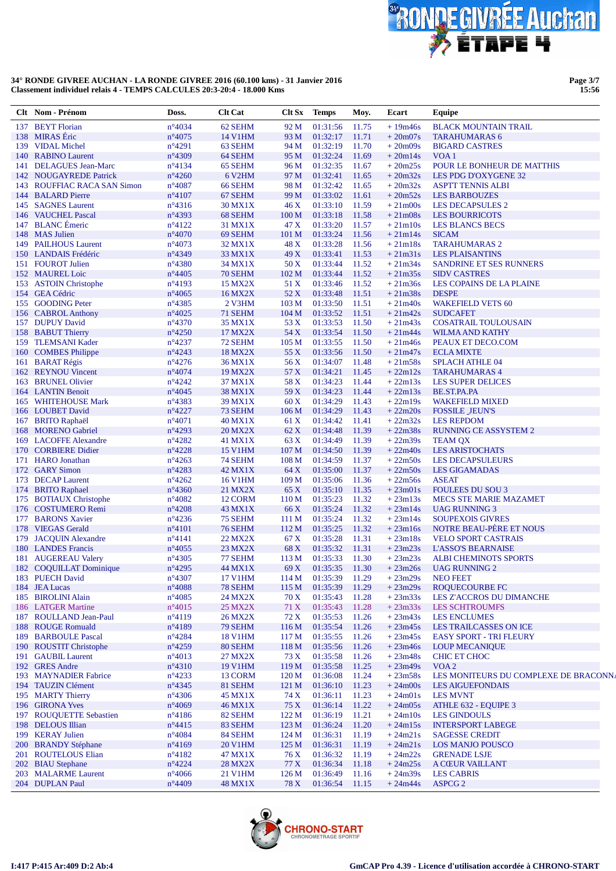

**Page 3/7 15:56**

|     | Clt Nom - Prénom                                    | Doss.                              | <b>Clt Cat</b>            | $C$ It $Sx$               | <b>Temps</b>                    | Moy.           | Ecart                  | Equipe                                                           |
|-----|-----------------------------------------------------|------------------------------------|---------------------------|---------------------------|---------------------------------|----------------|------------------------|------------------------------------------------------------------|
|     | 137 BEYT Florian                                    | $n^{\circ}4034$                    | 62 SEHM                   | 92 M                      | 01:31:56                        | 11.75          | $+19m46s$              | <b>BLACK MOUNTAIN TRAIL</b>                                      |
|     | 138 MIRAS Éric                                      | $n^{\circ}4075$                    | 14 V1HM                   | 93 M                      | 01:32:17                        | 11.71          | $+20m07s$              | <b>TARAHUMARAS 6</b>                                             |
|     | 139 VIDAL Michel                                    | $n^{\circ}4291$                    | 63 SEHM                   | 94 M                      | 01:32:19                        | 11.70          | $+20m09s$              | <b>BIGARD CASTRES</b>                                            |
|     | 140 RABINO Laurent                                  | n°4309                             | 64 SEHM                   | 95 M                      | 01:32:24                        | 11.69          | $+20m14s$              | VOA <sub>1</sub>                                                 |
| 141 | <b>DELAGUES Jean-Marc</b>                           | $n^{\circ}4134$                    | 65 SEHM                   | 96 M                      | 01:32:35                        | 11.67          | $+20m25s$              | POUR LE BONHEUR DE MATTHIS                                       |
|     | 142 NOUGAYREDE Patrick                              | $n^{\circ}4260$                    | 6 V <sub>2</sub> HM       | 97 M                      | 01:32:41<br>01:32:42            | 11.65          | $+20m32s$<br>$+20m32s$ | LES PDG D'OXYGENE 32                                             |
| 143 | <b>ROUFFIAC RACA SAN Simon</b><br>144 BALARD Pierre | $n^{\circ}4087$<br>$n^{\circ}4107$ | 66 SEHM<br>67 SEHM        | 98 M<br>99 M              | 01:33:02                        | 11.65<br>11.61 | $+20m52s$              | <b>ASPTT TENNIS ALBI</b><br><b>LES BARBOUZES</b>                 |
|     | 145 SAGNES Laurent                                  | $n^{\circ}4316$                    | 30 MX1X                   | 46X                       | 01:33:10                        | 11.59          | $+21m00s$              | LES DECAPSULES 2                                                 |
| 146 | <b>VAUCHEL Pascal</b>                               | n°4393                             | 68 SEHM                   | 100 <sub>M</sub>          | 01:33:18                        | 11.58          | $+21m08s$              | <b>LES BOURRICOTS</b>                                            |
|     | 147 BLANC Émeric                                    | $n^{\circ}4122$                    | 31 MX1X                   | 47 X                      | 01:33:20                        | 11.57          | $+21m10s$              | <b>LES BLANCS BECS</b>                                           |
|     | 148 MAS Julien                                      | $n^{\circ}4070$                    | 69 SEHM                   | 101 M                     | 01:33:24                        | 11.56          | $+21m14s$              | <b>SICAM</b>                                                     |
|     | 149 PAILHOUS Laurent                                | $n^{\circ}4073$                    | 32 MX1X                   | 48 X                      | 01:33:28                        | 11.56          | $+21m18s$              | <b>TARAHUMARAS 2</b>                                             |
|     | 150 LANDAIS Frédéric                                | n°4349                             | 33 MX1X                   | 49X                       | 01:33:41                        | 11.53          | $+21m31s$              | <b>LES PLAISANTINS</b>                                           |
|     | 151 FOUROT Julien                                   | $n^{\circ}4380$                    | 34 MX1X                   | 50 X                      | 01:33:44                        | 11.52          | $+21m34s$              | SANDRINE ET SES RUNNERS                                          |
|     | 152 MAUREL Loic                                     | $n^{\circ}4405$                    | 70 SEHM                   | 102 <sub>M</sub>          | 01:33:44                        | 11.52          | $+21m35s$              | <b>SIDV CASTRES</b>                                              |
|     | 153 ASTOIN Christophe                               | n°4193                             | <b>15 MX2X</b>            | 51 X                      | 01:33:46                        | 11.52          | $+21m36s$              | LES COPAINS DE LA PLAINE                                         |
|     | 154 GEA Cédric                                      | $n^{\circ}4065$                    | 16 MX2X                   | 52 X                      | 01:33:48                        | 11.51          | $+21m38s$              | <b>DESPE</b>                                                     |
|     | 155 GOODING Peter                                   | $n^{\circ}$ 4385                   | 2 V3HM                    | 103 M                     | 01:33:50                        | 11.51          | $+21m40s$              | <b>WAKEFIELD VETS 60</b>                                         |
|     | 156 CABROL Anthony                                  | $n^{\circ}4025$                    | 71 SEHM                   | 104 M<br>53 X             | 01:33:52<br>01:33:53            | 11.51          | $+21m42s$<br>$+21m43s$ | <b>SUDCAFET</b>                                                  |
|     | 157 DUPUY David<br>158 BABUT Thierry                | $n^{\circ}4370$<br>$n^{\circ}4250$ | 35 MX1X<br>17 MX2X        | 54 X                      | 01:33:54                        | 11.50<br>11.50 | $+21m44s$              | <b>COSATRAIL TOULOUSAIN</b><br><b>WILMA AND KATHY</b>            |
|     | 159 TLEMSANI Kader                                  | $n^{\circ}4237$                    | 72 SEHM                   | 105 M                     | 01:33:55                        | 11.50          | $+21m46s$              | PEAUX ET DECO.COM                                                |
| 160 | <b>COMBES Philippe</b>                              | $n^{\circ}4243$                    | <b>18 MX2X</b>            | 55 X                      | 01:33:56                        | 11.50          | $+21m47s$              | <b>ECLA MIXTE</b>                                                |
|     | 161 BARAT Régis                                     | $n^{\circ}4276$                    | 36 MX1X                   | 56 X                      | 01:34:07                        | 11.48          | $+21m58s$              | <b>SPLACH ATHLE 04</b>                                           |
|     | 162 REYNOU Vincent                                  | $n^{\circ}4074$                    | <b>19 MX2X</b>            | 57 X                      | 01:34:21                        | 11.45          | $+22m12s$              | <b>TARAHUMARAS 4</b>                                             |
| 163 | <b>BRUNEL Olivier</b>                               | $n^{\circ}4242$                    | 37 MX1X                   | 58 X                      | 01:34:23                        | 11.44          | $+22m13s$              | <b>LES SUPER DELICES</b>                                         |
|     | 164 LANTIN Benoit                                   | $n^{\circ}4045$                    | 38 MX1X                   | 59 X                      | 01:34:23                        | 11.44          | $+22m13s$              | BE.ST.PA.PA                                                      |
|     | 165 WHITEHOUSE Mark                                 | $n^{\circ}$ 4383                   | 39 MX1X                   | 60X                       | 01:34:29                        | 11.43          | $+22m19s$              | <b>WAKEFIELD MIXED</b>                                           |
|     | 166 LOUBET David                                    | $n^{\circ}4227$                    | 73 SEHM                   | 106 <sub>M</sub>          | 01:34:29                        | 11.43          | $+22m20s$              | <b>FOSSILE JEUN'S</b>                                            |
|     | 167 BRITO Raphaël                                   | $n^{\circ}4071$                    | <b>40 MX1X</b>            | 61 X                      | 01:34:42                        | 11.41          | $+22m32s$              | <b>LES REPDOM</b>                                                |
|     | 168 MORENO Gabriel                                  | $n^{\circ}4293$                    | <b>20 MX2X</b>            | 62 X                      | 01:34:48                        | 11.39          | $+22m38s$              | <b>RUNNING CE ASSYSTEM 2</b>                                     |
| 170 | 169 LACOFFE Alexandre<br><b>CORBIERE Didier</b>     | $n^{\circ}4282$<br>$n^{\circ}4228$ | 41 MX1X                   | 63 X<br>107 <sub>M</sub>  | 01:34:49<br>01:34:50            | 11.39<br>11.39 | $+22m39s$<br>$+22m40s$ | <b>TEAM QX</b><br><b>LES ARISTOCHATS</b>                         |
|     | 171 HARO Jonathan                                   | $n^{\circ}4263$                    | <b>15 V1HM</b><br>74 SEHM | 108 <sub>M</sub>          | 01:34:59                        | 11.37          | $+22m50s$              | <b>LES DECAPSULEURS</b>                                          |
| 172 | <b>GARY Simon</b>                                   | $n^{\circ}4283$                    | 42 MX1X                   | 64 X                      | 01:35:00                        | 11.37          | $+22m50s$              | <b>LES GIGAMADAS</b>                                             |
|     | 173 DECAP Laurent                                   | $n^{\circ}4262$                    | <b>16 V1HM</b>            | 109 M                     | 01:35:06                        | 11.36          | $+22m56s$              | <b>ASEAT</b>                                                     |
| 174 | <b>BRITO</b> Raphael                                | $n^{\circ}4360$                    | 21 MX2X                   | 65 X                      | 01:35:10                        | 11.35          | $+23m01s$              | <b>FOULEES DU SOU 3</b>                                          |
| 175 | <b>BOTIAUX Christophe</b>                           | $n^{\circ}4082$                    | 12 CORM                   | 110 M                     | 01:35:23                        | 11.32          | $+23m13s$              | <b>MECS STE MARIE MAZAMET</b>                                    |
|     | 176 COSTUMERO Remi                                  | $n^{\circ}4208$                    | 43 MX1X                   | 66 X                      | 01:35:24                        | 11.32          | $+23m14s$              | <b>UAG RUNNING 3</b>                                             |
| 177 | <b>BARONS Xavier</b>                                | $n^{\circ}4236$                    | 75 SEHM                   | 111 M                     | 01:35:24                        | 11.32          | $+23m14s$              | <b>SOUPEXOIS GIVRES</b>                                          |
|     | 178 VIEGAS Gerald                                   | $n^{\circ}4101$                    | 76 SEHM                   | 112 M                     | 01:35:25                        | 11.32          | $+23ml6s$              | <b>NOTRE BEAU-PÈRE ET NOUS</b>                                   |
| 179 | <b>JACQUIN Alexandre</b>                            | $n^{\circ}4141$                    | <b>22 MX2X</b>            | 67 X                      | 01:35:28                        | 11.31          | $+23m18s$              | <b>VELO SPORT CASTRAIS</b>                                       |
|     | 180 LANDES Francis                                  | $n^{\circ}4055$                    | 23 MX2X                   | 68 X                      | 01:35:32                        | 11.31          | $+23m23s$              | <b>L'ASSO'S BEARNAISE</b>                                        |
|     | 181 AUGEREAU Valery<br>182 COQUILLAT Dominique      | $n^{\circ}4305$<br>$n^{\circ}4295$ | 77 SEHM                   | 113 M                     | 01:35:33<br>69 X 01:35:35 11.30 | 11.30          | $+23m23s$              | <b>ALBI CHEMINOTS SPORTS</b><br>$+23m26s$ UAG RUNNING 2          |
|     | 183 PUECH David                                     | $n^{\circ}4307$                    | 44 MX1X<br>17 V1HM        |                           | 114 M 01:35:39 11.29            |                | $+23m29s$              | NEO FEET                                                         |
|     | 184 JEA Lucas                                       | $n^{\circ}4088$                    | 78 SEHM                   | 115 M                     | 01:35:39                        | 11.29          | $+23m29s$              | <b>ROQUECOURBE FC</b>                                            |
|     | 185 BIROLINI Alain                                  | $n^{\circ}4085$                    | 24 MX2X                   | 70 X                      | 01:35:43                        | 11.28          | $+23m33s$              | LES Z'ACCROS DU DIMANCHE                                         |
|     | 186 LATGER Martine                                  | $n^{\circ}4015$                    | <b>25 MX2X</b>            | 71 X                      | 01:35:43                        | 11.28          | $+23m33s$              | <b>LES SCHTROUMFS</b>                                            |
|     | 187 ROULLAND Jean-Paul                              | $n^{\circ}4119$                    | 26 MX2X                   | 72 X                      | 01:35:53                        | 11.26          | $+23m43s$              | <b>LES ENCLUMES</b>                                              |
|     | 188 ROUGE Romuald                                   | $n^{\circ}4189$                    | 79 SEHM                   | 116M                      | 01:35:54                        | 11.26          | $+23m45s$              | LES TRAILCASSES ON ICE                                           |
|     | 189 BARBOULE Pascal                                 | $n^{\circ}4284$                    | <b>18 V1HM</b>            | 117 M                     | 01:35:55                        | 11.26          | $+23m45s$              | <b>EASY SPORT - TRI FLEURY</b>                                   |
|     | 190 ROUSTIT Christophe                              | $n^{\circ}4259$                    | 80 SEHM                   | 118 M                     | 01:35:56                        | 11.26          | $+23m46s$              | <b>LOUP MECANIQUE</b>                                            |
|     | 191 GAUBIL Laurent                                  | $n^{\circ}4013$                    | 27 MX2X                   | 73 X                      | 01:35:58                        | 11.26          | $+23m48s$              | CHIC ET CHOC                                                     |
|     | 192 GRES Andre                                      | $n^{\circ}4310$                    | <b>19 V1HM</b>            | 119 <sub>M</sub>          | 01:35:58                        | 11.25          | $+23m49s$              | VOA <sub>2</sub>                                                 |
|     | 193 MAYNADIER Fabrice<br>194 TAUZIN Clément         | $n^{\circ}4233$<br>$n^{\circ}4345$ | 13 CORM<br>81 SEHM        | 120 <sub>M</sub><br>121 M | 01:36:08<br>01:36:10            | 11.24<br>11.23 | $+23m58s$<br>$+24m00s$ | LES MONITEURS DU COMPLEXE DE BRACONNA<br><b>LES AIGUEFONDAIS</b> |
|     | 195 MARTY Thierry                                   | $n^{\circ}4306$                    | 45 MX1X                   | 74 X                      | 01:36:11                        | 11.23          | $+24m01s$              | <b>LES MVNT</b>                                                  |
|     | 196 GIRONA Yves                                     | $n^{\circ}4069$                    | 46 MX1X                   | 75 X                      | 01:36:14                        | 11.22          | $+24m05s$              | ATHLE 632 - EQUIPE 3                                             |
|     | 197 ROUQUETTE Sebastien                             | $n^{\circ}4186$                    | 82 SEHM                   | 122 M                     | 01:36:19                        | 11.21          | $+24m10s$              | <b>LES GINDOULS</b>                                              |
|     | 198 DELOUS Illian                                   | $n^{\circ}4415$                    | 83 SEHM                   | 123 M                     | 01:36:24                        | 11.20          | $+24m15s$              | <b>INTERSPORT LABEGE</b>                                         |
|     | 199 KERAY Julien                                    | $n^{\circ}4084$                    | 84 SEHM                   | 124 M                     | 01:36:31                        | 11.19          | $+24m21s$              | <b>SAGESSE CREDIT</b>                                            |
|     | 200 BRANDY Stéphane                                 | $n^{\circ}4169$                    | 20 V1HM                   | 125 M                     | 01:36:31                        | 11.19          | $+24m21s$              | LOS MANJO POUSCO                                                 |
|     | 201 ROUTELOUS Elian                                 | $n^{\circ}4182$                    | 47 MX1X                   | 76 X                      | 01:36:32                        | 11.19          | $+24m22s$              | <b>GRENADE LSJE</b>                                              |
|     | 202 BIAU Stephane                                   | $n^{\circ}4224$                    | 28 MX2X                   | 77 X                      | 01:36:34                        | 11.18          | $+24m25s$              | <b>A CŒUR VAILLANT</b>                                           |
|     | 203 MALARME Laurent                                 | $n^{\circ}4066$                    | 21 V1HM                   | 126 <sub>M</sub>          | 01:36:49                        | 11.16          | $+24m39s$              | <b>LES CABRIS</b>                                                |
|     | 204 DUPLAN Paul                                     | $n^{\circ}4409$                    | <b>48 MX1X</b>            | 78 X                      | 01:36:54                        | 11.15          | $+24m44s$              | ASPCG <sub>2</sub>                                               |

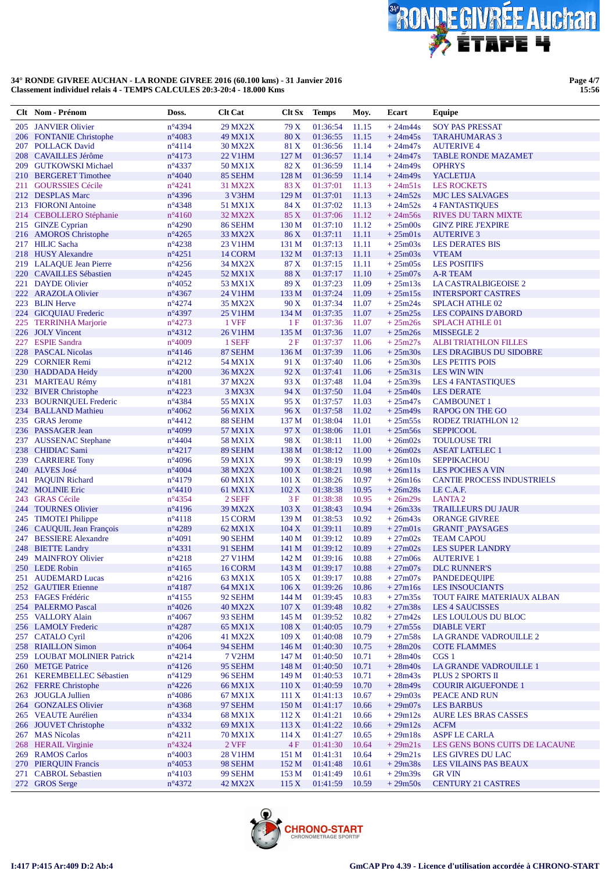

**Page 4/7 15:56**

|     | Clt Nom - Prénom                                  | Doss.                               | <b>Clt Cat</b>            | Clt Sx            | <b>Temps</b>         | Moy.           | Ecart                  | Equipe                                              |
|-----|---------------------------------------------------|-------------------------------------|---------------------------|-------------------|----------------------|----------------|------------------------|-----------------------------------------------------|
|     | 205 JANVIER Olivier                               | n°4394                              | <b>29 MX2X</b>            | 79 X              | 01:36:54             | 11.15          | $+24m44s$              | <b>SOY PAS PRESSAT</b>                              |
|     | 206 FONTANIE Christophe                           | $n^{\circ}4083$                     | 49 MX1X                   | 80 X              | 01:36:55             | 11.15          | $+24m45s$              | <b>TARAHUMARAS 3</b>                                |
|     | 207 POLLACK David                                 | $n^{\circ}4114$                     | <b>30 MX2X</b>            | 81 X              | 01:36:56             | 11.14          | $+24m47s$              | <b>AUTERIVE 4</b>                                   |
|     | 208 CAVAILLES Jérôme                              | $n^{\circ}4173$                     | <b>22 V1HM</b>            | 127 M             | 01:36:57             | 11.14          | $+24m47s$              | <b>TABLE RONDE MAZAMET</b><br><b>OPHRYS</b>         |
| 209 | <b>GUTKOWSKI Michael</b><br>210 BERGERET Timothee | $n^{\circ}$ 4337<br>$n^{\circ}4040$ | 50 MX1X<br>85 SEHM        | 82 X<br>128 M     | 01:36:59<br>01:36:59 | 11.14<br>11.14 | $+24m49s$<br>$+24m49s$ | <b>YACLETIJA</b>                                    |
| 211 | <b>GOURSSIES Cécile</b>                           | $n^{\circ}4241$                     | 31 MX2X                   | 83 X              | 01:37:01             | 11.13          | $+24m51s$              | <b>LES ROCKETS</b>                                  |
|     | 212 DESPLAS Marc                                  | $n^{\circ}4396$                     | 3 V3HM                    | 129 M             | 01:37:01             | 11.13          | $+24m52s$              | <b>MJC LES SALVAGES</b>                             |
|     | 213 FIORONI Antoine                               | n°4348                              | 51 MX1X                   | 84 X              | 01:37:02             | 11.13          | $+24m52s$              | <b>4 FANTASTIQUES</b>                               |
|     | 214 CEBOLLERO Stéphanie                           | $n^{\circ}4160$                     | 32 MX2X                   | 85 X              | 01:37:06             | 11.12          | $+24m56s$              | <b>RIVES DU TARN MIXTE</b>                          |
|     | 215 GINZE Cyprian                                 | $n^{\circ}4290$                     | 86 SEHM                   | 130 <sub>M</sub>  | 01:37:10             | 11.12          | $+25m00s$              | <b>GIN'Z PIRE J'EXPIRE</b>                          |
| 216 | <b>AMOROS</b> Christophe                          | $n^{\circ}4265$                     | 33 MX2X                   | 86 X              | 01:37:11             | 11.11          | $+25m01s$              | <b>AUTERIVE 3</b>                                   |
|     | 217 HILIC Sacha                                   | $n^{\circ}4238$                     | 23 V1HM                   | 131 M             | 01:37:13             | 11.11          | $+25m03s$              | <b>LES DERATES BIS</b>                              |
|     | 218 HUSY Alexandre                                | $n^{\circ}4251$                     | 14 CORM                   | 132 M             | 01:37:13             | 11.11          | $+25m03s$              | <b>VTEAM</b>                                        |
|     | 219 LALAQUE Jean Pierre                           | $n^{\circ}4256$                     | 34 MX2X                   | 87 X              | 01:37:15             | 11.11          | $+25m05s$              | <b>LES POSITIFS</b>                                 |
|     | 220 CAVAILLES Sébastien                           | $n^{\circ}4245$                     | 52 MX1X                   | 88 X              | 01:37:17             | 11.10          | $+25m07s$              | A-R TEAM                                            |
| 221 | <b>DAYDE Olivier</b>                              | $n^{\circ}4052$                     | 53 MX1X                   | 89 X              | 01:37:23             | 11.09          | $+25m13s$              | LA CASTRALBIGEOISE 2                                |
| 222 | <b>ARAZOLA Olivier</b><br>223 BLIN Herve          | $n^{\circ}4367$<br>$n^{\circ}4274$  | 24 V1HM<br><b>35 MX2X</b> | 133 M<br>90X      | 01:37:24<br>01:37:34 | 11.09<br>11.07 | $+25m15s$<br>$+25m24s$ | <b>INTERSPORT CASTRES</b><br><b>SPLACH ATHLE 02</b> |
|     | 224 GICQUIAU Frederic                             | n°4397                              | <b>25 V1HM</b>            | 134 M             | 01:37:35             | 11.07          | $+25m25s$              | <b>LES COPAINS D'ABORD</b>                          |
|     | 225 TERRINHA Marjorie                             | $n^{\circ}4273$                     | 1 VFF                     | 1F                | 01:37:36             | 11.07          | $+25m26s$              | <b>SPLACH ATHLE 01</b>                              |
|     | 226 JOLY Vincent                                  | $n^{\circ}4312$                     | <b>26 V1HM</b>            | 135 M             | 01:37:36             | 11.07          | $+25m26s$              | <b>MISSEGLE 2</b>                                   |
|     | 227 ESPIE Sandra                                  | $n^{\circ}4009$                     | 1 SEFF                    | 2F                | 01:37:37             | 11.06          | $+25m27s$              | <b>ALBI TRIATHLON FILLES</b>                        |
| 228 | <b>PASCAL Nicolas</b>                             | $n^{\circ}4146$                     | 87 SEHM                   | 136 M             | 01:37:39             | 11.06          | $+25m30s$              | LES DRAGIBUS DU SIDOBRE                             |
|     | 229 CORNIER Remi                                  | $n^{\circ}4212$                     | 54 MX1X                   | 91 X              | 01:37:40             | 11.06          | $+25m30s$              | <b>LES PETITS POIS</b>                              |
|     | 230 HADDADA Heidy                                 | $n^{\circ}4200$                     | <b>36 MX2X</b>            | 92 X              | 01:37:41             | 11.06          | $+25m31s$              | <b>LES WIN WIN</b>                                  |
|     | 231 MARTEAU Rémy                                  | $n^{\circ}4181$                     | 37 MX2X                   | 93 X              | 01:37:48             | 11.04          | $+25m39s$              | <b>LES 4 FANTASTIQUES</b>                           |
|     | 232 BIVER Christophe                              | $n^{\circ}4223$                     | 3 MX3X                    | 94 X              | 01:37:50             | 11.04          | $+25m40s$              | <b>LES DERATE</b>                                   |
|     | 233 BOURNIQUEL Frederic                           | $n^{\circ}$ 4384                    | 55 MX1X                   | 95 X              | 01:37:57             | 11.03          | $+25m47s$              | <b>CAMBOUNET 1</b>                                  |
|     | 234 BALLAND Mathieu                               | $n^{\circ}4062$                     | 56 MX1X                   | 96 X              | 01:37:58             | 11.02          | $+25m49s$              | <b>RAPOG ON THE GO</b>                              |
|     | 235 GRAS Jerome                                   | $n^{\circ}4412$                     | 88 SEHM                   | 137 M             | 01:38:04             | 11.01          | $+25m55s$              | <b>RODEZ TRIATHLON 12</b>                           |
|     | 236 PASSAGER Jean<br>237 AUSSENAC Stephane        | $n^{\circ}4099$<br>$n^{\circ}4404$  | 57 MX1X<br>58 MX1X        | 97 X<br>98 X      | 01:38:06<br>01:38:11 | 11.01<br>11.00 | $+25m56s$<br>$+26m02s$ | <b>SEPPICOOL</b><br><b>TOULOUSE TRI</b>             |
|     | 238 CHIDIAC Sami                                  | $n^{\circ}4217$                     | 89 SEHM                   | 138 M             | 01:38:12             | 11.00          | $+26m02s$              | <b>ASEAT LATELEC 1</b>                              |
|     | 239 CARRIERE Tony                                 | $n^{\circ}4096$                     | 59 MX1X                   | 99 X              | 01:38:19             | 10.99          | $+26m10s$              | <b>SEPPIKACHOU</b>                                  |
|     | 240 ALVES José                                    | $n^{\circ}4004$                     | <b>38 MX2X</b>            | $100\,\mathrm{X}$ | 01:38:21             | 10.98          | $+26m11s$              | <b>LES POCHES A VIN</b>                             |
|     | 241 PAQUIN Richard                                | $n^{\circ}4179$                     | 60 MX1X                   | 101 X             | 01:38:26             | 10.97          | $+26m16s$              | <b>CANTIE PROCESS INDUSTRIELS</b>                   |
|     | 242 MOLINIE Eric                                  | $n^{\circ}4410$                     | 61 MX1X                   | 102 X             | 01:38:38             | 10.95          | $+26m28s$              | LE C.A.F.                                           |
| 243 | <b>GRAS</b> Cécile                                | $n^{\circ}4354$                     | 2 SEFF                    | 3F                | 01:38:38             | 10.95          | $+26m29s$              | <b>LANTA2</b>                                       |
|     | 244 TOURNES Olivier                               | $n^{\circ}4196$                     | 39 MX2X                   | 103 X             | 01:38:43             | 10.94          | $+26m33s$              | <b>TRAILLEURS DU JAUR</b>                           |
| 245 | <b>TIMOTEI Philippe</b>                           | $n^{\circ}4118$                     | 15 CORM                   | 139 <sub>M</sub>  | 01:38:53             | 10.92          | $+26m43s$              | <b>ORANGE GIVREE</b>                                |
|     | 246 CAUQUIL Jean François                         | $n^{\circ}4289$                     | 62 MX1X                   | 104 X             | 01:39:11             | 10.89          | $+27m01s$              | <b>GRANIT PAYSAGES</b>                              |
|     | 247 BESSIERE Alexandre                            | $n^{\circ}4091$                     | 90 SEHM                   | 140 M             | 01:39:12             | 10.89          | $+27m02s$<br>$+27m02s$ | <b>TEAM CAPOU</b>                                   |
| 248 | <b>BIETTE Landry</b><br>249 MAINFROY Olivier      | $n^{\circ}4331$<br>$n^{\circ}4218$  | 91 SEHM<br>27 V1HM        | 141 M<br>142 M    | 01:39:12<br>01:39:16 | 10.89<br>10.88 | $+27m06s$              | <b>LES SUPER LANDRY</b><br><b>AUTERIVE 1</b>        |
|     | 250 LEDE Robin                                    | $n^{\circ}4165$                     | 16 CORM                   |                   | 143 M 01:39:17 10.88 |                | $+27m07s$              | <b>DLC RUNNER'S</b>                                 |
|     | 251 AUDEMARD Lucas                                | $n^{\circ}4216$                     | 63 MX1X                   | 105 X             | $01:39:17$ 10.88     |                | $+27m07s$              | <b>PANDEDEQUIPE</b>                                 |
|     | 252 GAUTIER Etienne                               | $n^{\circ}4187$                     | 64 MX1X                   | 106X              | 01:39:26             | 10.86          | $+27m16s$              | <b>LES INSOUCIANTS</b>                              |
|     | 253 FAGES Frédéric                                | $n^{\circ}4155$                     | 92 SEHM                   | 144 M             | 01:39:45             | 10.83          | $+27m35s$              | <b>TOUT FAIRE MATERIAUX ALBAN</b>                   |
|     | 254 PALERMO Pascal                                | $n^{\circ}4026$                     | <b>40 MX2X</b>            | 107 X             | 01:39:48             | 10.82          | $+27m38s$              | <b>LES 4 SAUCISSES</b>                              |
|     | 255 VALLORY Alain                                 | $n^{\circ}4067$                     | 93 SEHM                   | 145 M             | 01:39:52             | 10.82          | $+27m42s$              | LES LOULOUS DU BLOC                                 |
|     | 256 LAMOLY Frederic                               | $n^{\circ}4287$                     | 65 MX1X                   | 108 X             | 01:40:05             | 10.79          | $+27m55s$              | <b>DIABLE VERT</b>                                  |
|     | 257 CATALO Cyril                                  | $n^{\circ}4206$                     | 41 MX2X                   | 109X              | 01:40:08             | 10.79          | $+27m58s$              | <b>LA GRANDE VADROUILLE 2</b>                       |
|     | 258 RIAILLON Simon                                | $n^{\circ}4064$                     | 94 SEHM                   | 146 M             | 01:40:30             | 10.75          | $+28m20s$              | <b>COTE FLAMMES</b>                                 |
|     | 259 LOUBAT MOLINIER Patrick                       | $n^{\circ}4214$                     | <b>7 V2HM</b>             | 147 M             | 01:40:50             | 10.71          | $+28m40s$              | CGS 1                                               |
|     | 260 METGE Patrice<br>261 KEREMBELLEC Sébastien    | $n^{\circ}4126$<br>$n^{\circ}4129$  | 95 SEHM<br>96 SEHM        | 148 M<br>149 M    | 01:40:50<br>01:40:53 | 10.71<br>10.71 | $+28m40s$<br>$+28m43s$ | LA GRANDE VADROUILLE 1<br>PLUS 2 SPORTS II          |
|     | 262 FERRE Christophe                              | $n^{\circ}4226$                     | 66 MX1X                   | 110X              | 01:40:59             | 10.70          | $+28m49s$              | <b>COURIR AIGUEFONDE 1</b>                          |
|     | 263 JOUGLA Jullien                                | $n^{\circ}4086$                     | 67 MX1X                   | 111X              | 01:41:13             | 10.67          | $+29m03s$              | PEACE AND RUN                                       |
|     | 264 GONZALES Olivier                              | $n^{\circ}4368$                     | 97 SEHM                   | 150 <sub>M</sub>  | 01:41:17             | 10.66          | $+29m07s$              | <b>LES BARBUS</b>                                   |
|     | 265 VEAUTE Aurélien                               | $n^{\circ}$ 4334                    | 68 MX1X                   | 112X              | 01:41:21             | 10.66          | $+29m12s$              | AURE LES BRAS CASSES                                |
|     | 266 JOUVET Christophe                             | $n^{\circ}4332$                     | 69 MX1X                   | 113X              | 01:41:22             | 10.66          | $+29m12s$              | <b>ACFM</b>                                         |
|     | 267 MAS Nicolas                                   | $n^{\circ}4211$                     | 70 MX1X                   | 114X              | 01:41:27             | 10.65          | $+29m18s$              | <b>ASPF LE CARLA</b>                                |
|     | 268 HERAIL Virginie                               | n°4324                              | 2 VFF                     | 4F                | 01:41:30             | 10.64          | $+29m21s$              | LES GENS BONS CUITS DE LACAUNE                      |
|     | 269 RAMOS Carlos                                  | $n^{\circ}4003$                     | 28 V1HM                   | 151 M             | 01:41:31             | 10.64          | $+29m21s$              | LES GIVRES DU LAC                                   |
|     | 270 PIERQUIN Francis                              | $n^{\circ}4053$                     | 98 SEHM                   | 152 M             | 01:41:48             | 10.61          | $+29m38s$              | LES VILAINS PAS BEAUX                               |
|     | 271 CABROL Sebastien                              | $n^{\circ}4103$                     | 99 SEHM                   | 153M              | 01:41:49             | 10.61          | $+29m39s$              | <b>GR VIN</b>                                       |
|     | 272 GROS Serge                                    | $n^{\circ}4372$                     | 42 MX2X                   | 115X              | 01:41:59             | 10.59          | $+29m50s$              | <b>CENTURY 21 CASTRES</b>                           |

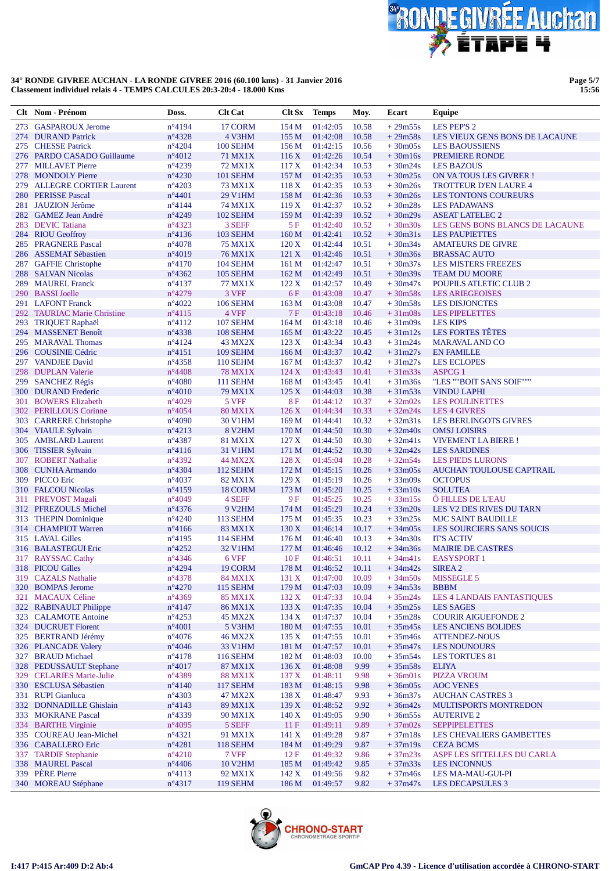

**Page 5/7 15:56**

|            | Clt Nom - Prénom                                  | Doss.                              | <b>Clt Cat</b>             | Clt Sx Temps             |                      | Moy.           | Ecart                  | <b>Equipe</b>                                  |
|------------|---------------------------------------------------|------------------------------------|----------------------------|--------------------------|----------------------|----------------|------------------------|------------------------------------------------|
|            | 273 GASPAROUX Jerome                              | $n^{\circ}4194$                    | 17 CORM                    | 154 M                    | 01:42:05             | 10.58          | $+29m55s$              | <b>LES PEP'S 2</b>                             |
|            | 274 DURAND Patrick                                | $n^{\circ}4328$                    | 4 V3HM                     | 155 M                    | 01:42:08             | 10.58          | $+29m58s$              | LES VIEUX GENS BONS DE LACAUNE                 |
|            | 275 CHESSE Patrick                                | $n^{\circ}4204$                    | <b>100 SEHM</b>            | 156M                     | 01:42:15             | 10.56          | $+30m05s$              | <b>LES BAOUSSIENS</b>                          |
|            | 276 PARDO CASADO Guillaume                        | $n^{\circ}4012$                    | <b>71 MX1X</b>             | 116X                     | 01:42:26             | 10.54          | $+30m16s$              | <b>PREMIERE RONDE</b>                          |
| 277        | <b>MILLAVET Pierre</b>                            | n°4239                             | 72 MX1X                    | 117X                     | 01:42:34             | 10.53          | $+30m24s$              | <b>LES BAZOUS</b>                              |
|            | 278 MONDOLY Pierre                                | $n^{\circ}4230$                    | <b>101 SEHM</b>            | 157 M                    | 01:42:35             | 10.53          | $+30m25s$              | ON VATOUS LES GIVRER!                          |
| 279        | <b>ALLEGRE CORTIER Laurent</b>                    | $n^{\circ}4203$                    | 73 MX1X                    | 118X                     | 01:42:35             | 10.53          | $+30m26s$              | <b>TROTTEUR D'EN LAURE 4</b>                   |
|            | 280 PERISSE Pascal                                | $n^{\circ}4401$                    | 29 V1HM                    | 158 M                    | 01:42:36             | 10.53          | $+30m26s$              | <b>LES TONTONS COUREURS</b>                    |
|            | 281 JAUZION Jérôme<br>282 GAMEZ Jean André        | $n^{\circ}4144$<br>$n^{\circ}4249$ | 74 MX1X<br><b>102 SEHM</b> | 119X<br>159 <sub>M</sub> | 01:42:37<br>01:42:39 | 10.52<br>10.52 | $+30m28s$<br>$+30m29s$ | <b>LES PADAWANS</b><br><b>ASEAT LATELEC 2</b>  |
|            | 283 DEVIC Tatiana                                 | $n^{\circ}4323$                    | 3 SEFF                     | 5F                       | 01:42:40             | 10.52          | $+30m30s$              | LES GENS BONS BLANCS DE LACAUNE                |
|            | 284 RIOU Geoffroy                                 | $n^{\circ}4136$                    | <b>103 SEHM</b>            | 160 M                    | 01:42:41             | 10.52          | $+30m31s$              | <b>LES PAUPIETTES</b>                          |
|            | 285 PRAGNERE Pascal                               | $n^{\circ}4078$                    | <b>75 MX1X</b>             | 120X                     | 01:42:44             | 10.51          | $+30m34s$              | <b>AMATEURS DE GIVRE</b>                       |
|            | 286 ASSEMAT Sébastien                             | n°4019                             | <b>76 MX1X</b>             | 121 X                    | 01:42:46             | 10.51          | $+30m36s$              | <b>BRASSAC AUTO</b>                            |
|            | 287 GAFFIE Christophe                             | $n^{\circ}4170$                    | <b>104 SEHM</b>            | 161 <sub>M</sub>         | 01:42:47             | 10.51          | $+30m37s$              | <b>LES MISTERS FREEZES</b>                     |
|            | 288 SALVAN Nicolas                                | $n^{\circ}4362$                    | <b>105 SEHM</b>            | 162 M                    | 01:42:49             | 10.51          | $+30m39s$              | <b>TEAM DU MOORE</b>                           |
|            | 289 MAUREL Franck                                 | $n^{\circ}4137$                    | 77 MX1X                    | 122 X                    | 01:42:57             | 10.49          | $+30m47s$              | <b>POUPILS ATLETIC CLUB 2</b>                  |
|            | 290 BASSI Joelle                                  | n°4279                             | 3 VFF                      | 6F                       | 01:43:08             | 10.47          | $+30m58s$              | <b>LES ARIEGEOISES</b>                         |
|            | 291 LAFONT Franck                                 | $n^{\circ}4022$                    | <b>106 SEHM</b>            | 163 M                    | 01:43:08             | 10.47          | $+30m58s$              | <b>LES DISJONCTES</b>                          |
|            | 292 TAURIAC Marie Christine                       | $n^{\circ}4115$                    | 4 VFF                      | 7F                       | 01:43:18             | 10.46          | $+31m08s$              | <b>LES PIPELETTES</b>                          |
| 293        | <b>TRIQUET Raphaël</b>                            | $n^{\circ}4112$                    | <b>107 SEHM</b>            | 164M                     | 01:43:18             | 10.46          | $+31m09s$              | <b>LES KIPS</b>                                |
|            | 294 MASSENET Benoît                               | $n^{\circ}$ 4338                   | <b>108 SEHM</b>            | 165 M                    | 01:43:22             | 10.45          | $+31m12s$              | LES FORTES TÊTES                               |
|            | 295 MARAVAL Thomas<br>296 COUSINIE Cédric         | $n^{\circ}4124$<br>$n^{\circ}4151$ | 43 MX2X<br><b>109 SEHM</b> | 123X<br>166 <sub>M</sub> | 01:43:34<br>01:43:37 | 10.43<br>10.42 | $+31m24s$<br>$+31m27s$ | <b>MARAVAL AND CO</b><br><b>EN FAMILLE</b>     |
|            | 297 VANDJEE David                                 | $n^{\circ}4358$                    | <b>110 SEHM</b>            | 167 <sub>M</sub>         | 01:43:37             | 10.42          | $+31m27s$              | <b>LES ECLOPES</b>                             |
|            | 298 DUPLAN Valerie                                | $n^{\circ}4408$                    | <b>78 MX1X</b>             | 124X                     | 01:43:43             | 10.41          | $+31m33s$              | <b>ASPCG 1</b>                                 |
|            | 299 SANCHEZ Régis                                 | $n^{\circ}4080$                    | <b>111 SEHM</b>            | 168 M                    | 01:43:45             | 10.41          | $+31m36s$              | "LES ""BOIT SANS SOIF"""                       |
|            | 300 DURAND Frederic                               | $n^{\circ}4010$                    | 79 MX1X                    | 125X                     | 01:44:03             | 10.38          | $+31m53s$              | <b>VINDU LAPHI</b>                             |
| 301        | <b>BOWERS Elizabeth</b>                           | $n^{\circ}4029$                    | 5 VFF                      | <b>8F</b>                | 01:44:12             | 10.37          | $+32m02s$              | <b>LES POULINETTES</b>                         |
|            | 302 PERILLOUS Corinne                             | $n^{\circ}4054$                    | <b>80 MX1X</b>             | 126X                     | 01:44:34             | 10.33          | $+32m24s$              | <b>LES 4 GIVRES</b>                            |
|            | 303 CARRERE Christophe                            | $n^{\circ}4090$                    | <b>30 V1HM</b>             | 169 <sub>M</sub>         | 01:44:41             | 10.32          | $+32m31s$              | <b>LES BERLINGOTS GIVRES</b>                   |
|            | 304 VIAULE Sylvain                                | $n^{\circ}4213$                    | 8 V <sub>2</sub> HM        | 170 <sub>M</sub>         | 01:44:50             | 10.30          | $+32m40s$              | <b>OMSJ LOISIRS</b>                            |
|            | 305 AMBLARD Laurent                               | $n^{\circ}$ 4387                   | 81 MX1X                    | 127 <sub>X</sub>         | 01:44:50             | 10.30          | $+32m41s$              | <b>VIVEMENT LA BIERE!</b>                      |
|            | 306 TISSIER Sylvain                               | $n^{\circ}4116$                    | 31 V1HM                    | 171 M                    | 01:44:52             | 10.30          | $+32m42s$              | <b>LES SARDINES</b>                            |
| 307        | <b>ROBERT Nathalie</b>                            | $n^{\circ}4392$                    | 44 MX2X                    | 128 X                    | 01:45:04             | 10.28          | $+32m54s$              | <b>LES PIEDS LURONS</b>                        |
| 308        | <b>CUNHA Armando</b>                              | n°4304                             | <b>112 SEHM</b>            | 172 M                    | 01:45:15             | 10.26          | $+33m05s$              | AUCHAN TOULOUSE CAPTRAIL                       |
|            | 309 PICCO Eric<br>310 FALCOU Nicolas              | $n^{\circ}4037$<br>$n^{\circ}4159$ | 82 MX1X<br>18 CORM         | 129X<br>173 M            | 01:45:19<br>01:45:20 | 10.26<br>10.25 | $+33m09s$<br>$+33m10s$ | <b>OCTOPUS</b><br><b>SOLUTEA</b>               |
|            | 311 PREVOST Magali                                | $n^{\circ}4049$                    | 4 SEFF                     | 9F                       | 01:45:25             | 10.25          | $+33m15s$              | Ô FILLES DE L'EAU                              |
|            | 312 PFREZOULS Michel                              | $n^{\circ}4376$                    | <b>9 V2HM</b>              | 174 M                    | 01:45:29             | 10.24          | $+33m20s$              | LES V2 DES RIVES DU TARN                       |
|            | 313 THEPIN Dominique                              | $n^{\circ}4240$                    | <b>113 SEHM</b>            | 175 M                    | 01:45:35             | 10.23          | $+33m25s$              | <b>MJC SAINT BAUDILLE</b>                      |
|            | 314 CHAMPIOT Warren                               | $n^{\circ}4166$                    | 83 MX1X                    | 130 X                    | 01:46:14             | 10.17          | $+34m05s$              | LES SOURCIERS SANS SOUCIS                      |
|            | 315 LAVAL Gilles                                  | $n^{\circ}4195$                    | <b>114 SEHM</b>            | 176M                     | 01:46:40             | 10.13          | $+34m30s$              | <b>IT'S ACTIV</b>                              |
|            | 316 BALASTEGUI Eric                               | $n^{\circ}4252$                    | 32 V1HM                    | 177 M                    | 01:46:46             | 10.12          | $+34m36s$              | <b>MAIRIE DE CASTRES</b>                       |
|            | 317 RAYSSAC Cathy                                 | $n^{\circ}$ 4346                   | 6 VFF                      | 10F                      | 01:46:51             | 10.11          | $+34m41s$              | <b>EASYSPORT 1</b>                             |
|            | 318 PICOU Gilles                                  | $n^{\circ}4294$                    | 19 CORM                    | 178 M                    | 01:46:52 10.11       |                | $+34m42s$              | SIREA 2                                        |
|            | 319 CAZALS Nathalie                               | $n^{\circ}4378$                    | 84 MX1X                    | 131 X                    | 01:47:00             | 10.09          | $+34m50s$              | MISSEGLE 5                                     |
|            | 320 BOMPAS Jerome                                 | $n^{\circ}4270$                    | <b>115 SEHM</b>            | 179 M                    | 01:47:03             | 10.09          | $+34m53s$              | <b>BBBM</b>                                    |
| 321<br>322 | <b>MACAUX Céline</b><br><b>RABINAULT Philippe</b> | $n^{\circ}4369$<br>$n^{\circ}4147$ | 85 MX1X                    | 132 X<br>133X            | 01:47:33<br>01:47:35 | 10.04<br>10.04 | $+35m24s$<br>$+35m25s$ | LES 4 LANDAIS FANTASTIQUES<br><b>LES SAGES</b> |
|            | 323 CALAMOTE Antoine                              | $n^{\circ}4253$                    | 86 MX1X<br>45 MX2X         | 134 X                    | 01:47:37             | 10.04          | $+35m28s$              | <b>COURIR AIGUEFONDE 2</b>                     |
|            | 324 DUCRUET Florent                               | $n^{\circ}4001$                    | 5 V3HM                     | 180 M                    | 01:47:55             | 10.01          | $+35m45s$              | <b>LES ANCIENS BOLIDES</b>                     |
|            | 325 BERTRAND Jérémy                               | $n^{\circ}4076$                    | 46 MX2X                    | 135X                     | 01:47:55             | 10.01          | $+35m46s$              | <b>ATTENDEZ-NOUS</b>                           |
|            | 326 PLANCADE Valery                               | $n^{\circ}4046$                    | 33 V1HM                    | 181 M                    | 01:47:57             | 10.01          | $+35m47s$              | <b>LES NOUNOURS</b>                            |
|            | 327 BRAUD Michael                                 | $n^{\circ}4178$                    | <b>116 SEHM</b>            | 182 M                    | 01:48:03             | 10.00          | $+35m54s$              | <b>LES TORTUES 81</b>                          |
|            | 328 PEDUSSAULT Stephane                           | $n^{\circ}4017$                    | 87 MX1X                    | 136X                     | 01:48:08             | 9.99           | $+35m58s$              | <b>ELIYA</b>                                   |
|            | 329 CELARIES Marie-Julie                          | n°4389                             | <b>88 MX1X</b>             | 137 <sub>X</sub>         | 01:48:11             | 9.98           | $+36m01s$              | <b>PIZZA VROUM</b>                             |
|            | 330 ESCLUSA Sébastien                             | $n^{\circ}4140$                    | <b>117 SEHM</b>            | 183 M                    | 01:48:15             | 9.98           | $+36m05s$              | <b>AOC VENES</b>                               |
|            | 331 RUPI Gianluca                                 | $n^{\circ}4303$                    | 47 MX2X                    | 138X                     | 01:48:47             | 9.93           | $+36m37s$              | <b>AUCHAN CASTRES 3</b>                        |
|            | 332 DONNADILLE Ghislain                           | $n^{\circ}4143$                    | 89 MX1X                    | 139X                     | 01:48:52             | 9.92           | $+36m42s$              | MULTISPORTS MONTREDON                          |
|            | 333 MOKRANE Pascal                                | $n^{\circ}4339$                    | 90 MX1X                    | 140 X                    | 01:49:05             | 9.90           | $+36m55s$              | <b>AUTERIVE 2</b>                              |
| 334        | <b>BARTHE Virginie</b>                            | $n^{\circ}4095$                    | 5 SEFF                     | 11F                      | 01:49:11             | 9.89           | $+37m02s$              | <b>SEPPIPELETTES</b>                           |
|            | 335 COUREAU Jean-Michel<br>336 CABALLERO Eric     | $n^{\circ}4321$<br>$n^{\circ}4281$ | 91 MX1X<br><b>118 SEHM</b> | 141 X<br>184 M           | 01:49:28<br>01:49:29 | 9.87<br>9.87   | $+37m18s$<br>$+37m19s$ | LES CHEVALIERS GAMBETTES<br><b>CEZA BCMS</b>   |
| 337        | <b>TARDIF Stephanie</b>                           | $n^{\circ}4210$                    | $7\,\mathrm{VFF}$          | 12F                      | 01:49:32             | 9.86           | $+37m23s$              | ASPF LES SITTELLES DU CARLA                    |
|            | 338 MAUREL Pascal                                 | $n^{\circ}4406$                    | <b>10 V2HM</b>             | 185 M                    | 01:49:42             | 9.85           | $+37m33s$              | <b>LES INCONNUS</b>                            |
|            | 339 PERE Pierre                                   | $n^{\circ}4113$                    | 92 MX1X                    | 142X                     | 01:49:56             | 9.82           | $+37m46s$              | LES MA-MAU-GUI-PI                              |
|            | 340 MOREAU Stéphane                               | $n^{\circ}4317$                    | 119 SEHM                   | 186 M                    | 01:49:57             | 9.82           | $+37m47s$              | LES DECAPSULES 3                               |

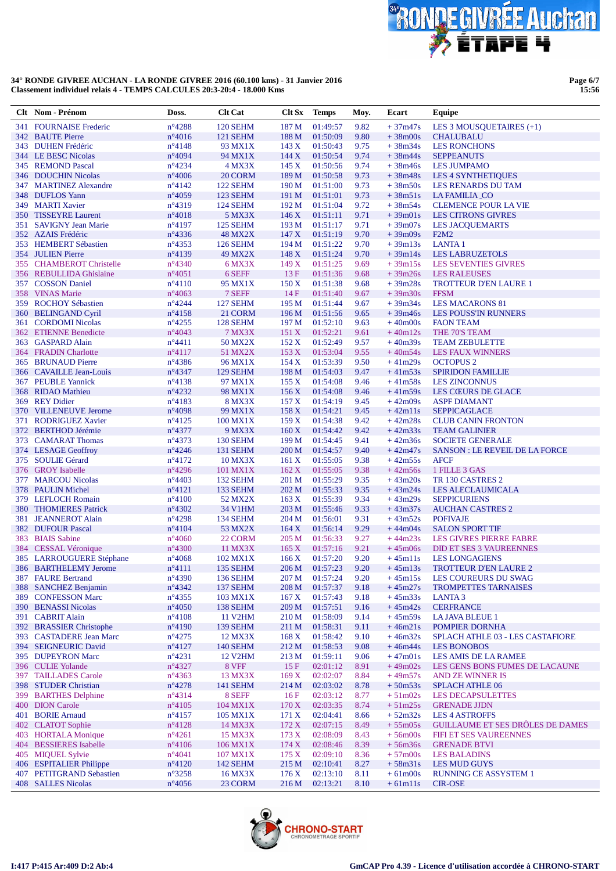

**Page 6/7 15:56**

|     | Clt Nom - Prénom                                 | Doss.                               | <b>Clt Cat</b>             | Clt Sx           | <b>Temps</b>         | Moy.         | Ecart                  | Equipe                                                  |
|-----|--------------------------------------------------|-------------------------------------|----------------------------|------------------|----------------------|--------------|------------------------|---------------------------------------------------------|
| 341 | <b>FOURNAISE</b> Frederic                        | $n^{\circ}4288$                     | <b>120 SEHM</b>            | 187 M            | 01:49:57             | 9.82         | $+37m47s$              | LES 3 MOUSQUETAIRES (+1)                                |
|     | 342 BAUTE Pierre                                 | $n^{\circ}4016$                     | 121 SEHM                   | 188 M            | 01:50:09             | 9.80         | $+38m00s$              | <b>CHALUBALU</b>                                        |
|     | 343 DUHEN Frédéric                               | $n^{\circ}4148$                     | 93 MX1X                    | 143X             | 01:50:43             | 9.75         | $+38m34s$              | <b>LES RONCHONS</b>                                     |
|     | 344 LE BESC Nicolas                              | $n^{\circ}4094$                     | 94 MX1X                    | 144X             | 01:50:54             | 9.74         | $+38m44s$              | <b>SEPPEANUTS</b>                                       |
|     | 345 REMOND Pascal                                | $n^{\circ}4234$                     | 4 MX3X                     | 145 X            | 01:50:56             | 9.74         | $+38m46s$              | <b>LES JUMPAMO</b>                                      |
|     | 346 DOUCHIN Nicolas                              | $n^{\circ}4006$                     | 20 CORM                    | 189 M            | 01:50:58             | 9.73         | $+38m48s$              | <b>LES 4 SYNTHETIQUES</b>                               |
| 347 | <b>MARTINEZ Alexandre</b>                        | $n^{\circ}4142$                     | 122 SEHM                   | 190 <sub>M</sub> | 01:51:00             | 9.73         | $+38m50s$              | LES RENARDS DU TAM                                      |
|     | 348 DUFLOS Yann                                  | $n^{\circ}4059$                     | 123 SEHM                   | 191 M            | 01:51:01             | 9.73         | $+38m51s$              | <b>LA FAMILIA_CO</b>                                    |
|     | 349 MARTI Xavier                                 | $n^{\circ}4319$                     | 124 SEHM                   | 192 M            | 01:51:04             | 9.72         | $+38m54s$              | <b>CLEMENCE POUR LA VIE</b>                             |
| 350 | <b>TISSEYRE Laurent</b>                          | $n^{\circ}4018$                     | 5 MX3X                     | 146X             | 01:51:11             | 9.71         | $+39m01s$              | <b>LES CITRONS GIVRES</b>                               |
|     | 351 SAVIGNY Jean Marie<br>352 AZAIS Frédéric     | $n^{\circ}4197$<br>$n^{\circ}$ 4336 | 125 SEHM<br><b>48 MX2X</b> | 193 M<br>147X    | 01:51:17<br>01:51:19 | 9.71<br>9.70 | $+39m07s$<br>$+39m09s$ | <b>LES JACQUEMARTS</b><br>F2M2                          |
|     | 353 HEMBERT Sébastien                            | $n^{\circ}4353$                     | 126 SEHM                   | 194 M            | 01:51:22             | 9.70         | $+39m13s$              | <b>LANTA1</b>                                           |
|     | 354 JULIEN Pierre                                | $n^{\circ}4139$                     | 49 MX2X                    | 148 X            | 01:51:24             | 9.70         | $+39m14s$              | <b>LES LABRUZETOLS</b>                                  |
|     | 355 CHAMBEROT Christelle                         | $n^{\circ}4340$                     | 6 MX3X                     | 149X             | 01:51:25             | 9.69         | $+39m15s$              | <b>LES SEVENTIES GIVRES</b>                             |
|     | 356 REBULLIDA Ghislaine                          | $n^{\circ}4051$                     | 6 SEFF                     | 13F              | 01:51:36             | 9.68         | $+39m26s$              | <b>LES RALEUSES</b>                                     |
|     | 357 COSSON Daniel                                | $n^{\circ}4110$                     | 95 MX1X                    | 150X             | 01:51:38             | 9.68         | $+39m28s$              | <b>TROTTEUR D'EN LAURE 1</b>                            |
|     | 358 VINAS Marie                                  | $n^{\circ}4063$                     | 7 SEFF                     | 14F              | 01:51:40             | 9.67         | $+39m30s$              | <b>FFSM</b>                                             |
|     | 359 ROCHOY Sébastien                             | $n^{\circ}4244$                     | 127 SEHM                   | 195 <sub>M</sub> | 01:51:44             | 9.67         | $+39m34s$              | <b>LES MACARONS 81</b>                                  |
|     | 360 BELINGAND Cyril                              | $n^{\circ}4158$                     | 21 CORM                    | 196 M            | 01:51:56             | 9.65         | $+39m46s$              | <b>LES POUSS'IN RUNNERS</b>                             |
|     | 361 CORDOMI Nicolas                              | $n^{\circ}4255$                     | 128 SEHM                   | 197 M            | 01:52:10             | 9.63         | $+40m00s$              | <b>FAON TEAM</b>                                        |
|     | 362 ETIENNE Benedicte                            | $n^{\circ}4043$                     | <b>7 MX3X</b>              | 151X             | 01:52:21             | 9.61         | $+40m12s$              | THE 70'S TEAM                                           |
|     | 363 GASPARD Alain                                | $n^{\circ}4411$                     | 50 MX2X                    | 152X             | 01:52:49             | 9.57         | $+40m39s$              | <b>TEAM ZEBULETTE</b>                                   |
|     | 364 FRADIN Charlotte                             | $n^{\circ}4117$                     | 51 MX2X                    | 153X             | 01:53:04             | 9.55         | $+40m54s$              | <b>LES FAUX WINNERS</b>                                 |
|     | 365 BRUNAUD Pierre                               | $n^{\circ}$ 4386                    | 96 MX1X                    | 154X             | 01:53:39             | 9.50         | $+41m29s$              | <b>OCTOPUS 2</b>                                        |
|     | 366 CAVAILLE Jean-Louis                          | $n^{\circ}4347$                     | 129 SEHM                   | 198 M            | 01:54:03             | 9.47         | $+41m53s$              | <b>SPIRIDON FAMILLIE</b>                                |
|     | 367 PEUBLE Yannick                               | $n^{\circ}4138$                     | 97 MX1X                    | 155X             | 01:54:08             | 9.46         | $+41m58s$              | <b>LES ZINCONNUS</b>                                    |
| 369 | 368 RIDAO Mathieu<br><b>REY Didier</b>           | $n^{\circ}4232$<br>$n^{\circ}4183$  | 98 MX1X<br><b>8 MX3X</b>   | 156X<br>157 X    | 01:54:08<br>01:54:19 | 9.46<br>9.45 | $+41m59s$<br>$+42m09s$ | <b>LES CŒURS DE GLACE</b><br><b>ASPF DIAMANT</b>        |
|     | 370 VILLENEUVE Jerome                            | $n^{\circ}4098$                     | 99 MX1X                    | 158 X            | 01:54:21             | 9.45         | $+42m11s$              | <b>SEPPICAGLACE</b>                                     |
| 371 | <b>RODRIGUEZ Xavier</b>                          | $n^{\circ}4125$                     | 100 MX1X                   | 159X             | 01:54:38             | 9.42         | $+42m28s$              | <b>CLUB CANIN FRONTON</b>                               |
|     | 372 BERTHOD Jérémie                              | $n^{\circ}4377$                     | 9 MX3X                     | 160X             | 01:54:42             | 9.42         | $+42m33s$              | <b>TEAM GALINIER</b>                                    |
|     | 373 CAMARAT Thomas                               | $n^{\circ}4373$                     | <b>130 SEHM</b>            | 199 M            | 01:54:45             | 9.41         | $+42m36s$              | <b>SOCIETE GENERALE</b>                                 |
|     | 374 LESAGE Geoffroy                              | $n^{\circ}4246$                     | <b>131 SEHM</b>            | 200 <sub>M</sub> | 01:54:57             | 9.40         | $+42m47s$              | <b>SANSON: LE REVEIL DE LA FORCE</b>                    |
|     | 375 SOULIE Gérard                                | $n^{\circ}4172$                     | 10 MX3X                    | 161 X            | 01:55:05             | 9.38         | $+42m55s$              | <b>AFCF</b>                                             |
|     | 376 GROY Isabelle                                | $n^{\circ}4296$                     | 101 MX1X                   | 162 X            | 01:55:05             | 9.38         | $+42m56s$              | 1 FILLE 3 GAS                                           |
|     | 377 MARCOU Nicolas                               | $n^{\circ}4403$                     | 132 SEHM                   | 201 M            | 01:55:29             | 9.35         | $+43m20s$              | TR 130 CASTRES 2                                        |
| 378 | <b>PAULIN Michel</b>                             | $n^{\circ}4121$                     | 133 SEHM                   | 202 M            | 01:55:33             | 9.35         | $+43m24s$              | LES ALECLAUMICALA                                       |
|     | 379 LEFLOCH Romain                               | $n^{\circ}4100$                     | 52 MX2X                    | 163 X            | 01:55:39             | 9.34         | $+43m29s$              | <b>SEPPICURIENS</b>                                     |
|     | 380 THOMIERES Patrick                            | $n^{\circ}4302$                     | 34 V1HM                    | 203 <sub>M</sub> | 01:55:46             | 9.33         | $+43m37s$              | <b>AUCHAN CASTRES 2</b>                                 |
| 381 | <b>JEANNEROT Alain</b>                           | $n^{\circ}4298$                     | 134 SEHM                   | 204 M            | 01:56:01             | 9.31         | $+43m52s$              | <b>POFIVAJE</b>                                         |
|     | 382 DUFOUR Pascal                                | $n^{\circ}4104$                     | 53 MX2X                    | 164X             | 01:56:14             | 9.29         | $+44m04s$              | <b>SALON SPORT TIF</b>                                  |
|     | 383 BIAIS Sabine                                 | $n^{\circ}4060$                     | 22 CORM                    | 205 M            | 01:56:33             | 9.27         | $+44m23s$              | <b>LES GIVRES PIERRE FABRE</b>                          |
|     | 384 CESSAL Véronique<br>385 LARROUGUERE Stéphane | $n^{\circ}4300$<br>$n^{\circ}4068$  | 11 MX3X<br>102 MX1X        | 165 X<br>166X    | 01:57:16<br>01:57:20 | 9.21<br>9.20 | $+45m06s$<br>$+45m11s$ | <b>DID ET SES 3 VAUREENNES</b><br><b>LES LONGAGIENS</b> |
|     | 386 BARTHELEMY Jerome                            | $n^{\circ}4111$                     | <b>135 SEHM</b>            |                  | 206 M 01:57:23       | 9.20         |                        | $+45m13s$ TROTTEUR D'EN LAURE 2                         |
|     | 387 FAURE Bertrand                               | $n^{\circ}4390$                     | <b>136 SEHM</b>            | 207 M            | 01:57:24             | 9.20         | $+45m15s$              | LES COUREURS DU SWAG                                    |
|     | 388 SANCHEZ Benjamin                             | $n^{\circ}4342$                     | 137 SEHM                   | 208 M            | 01:57:37             | 9.18         | $+45m27s$              | <b>TROMPETTES TARNAISES</b>                             |
|     | 389 CONFESSON Marc                               | $n^{\circ}4355$                     | 103 MX1X                   | 167 X            | 01:57:43             | 9.18         | $+45m33s$              | <b>LANTA3</b>                                           |
|     | 390 BENASSI Nicolas                              | $n^{\circ}4050$                     | 138 SEHM                   | 209 M            | 01:57:51             | 9.16         | $+45m42s$              | <b>CERFRANCE</b>                                        |
|     | 391 CABRIT Alain                                 | $n^{\circ}4108$                     | 11 V2HM                    | 210 M            | 01:58:09             | 9.14         | $+45m59s$              | <b>LA JAVA BLEUE 1</b>                                  |
|     | 392 BRASSIER Christophe                          | $n^{\circ}4190$                     | 139 SEHM                   | 211 M            | 01:58:31             | 9.11         | $+46m21s$              | POMPIER DORNHA                                          |
|     | 393 CASTADERE Jean Marc                          | $n^{\circ}4275$                     | 12 MX3X                    | 168X             | 01:58:42             | 9.10         | $+46m32s$              | SPLACH ATHLE 03 - LES CASTAFIORE                        |
|     | 394 SEIGNEURIC David                             | $n^{\circ}4127$                     | <b>140 SEHM</b>            | 212 M            | 01:58:53             | 9.08         | $+46m44s$              | <b>LES BONOBOS</b>                                      |
|     | 395 DUPEYRON Marc                                | $n^{\circ}4231$                     | <b>12 V2HM</b>             | 213 M            | 01:59:11             | 9.06         | $+47m01s$              | LES AMIS DE LA RAMEE                                    |
|     | 396 CULIE Yolande                                | n°4327                              | 8 VFF                      | 15F              | 02:01:12             | 8.91         | $+49m02s$              | LES GENS BONS FUMES DE LACAUNE                          |
|     | 397 TAILLADES Carole                             | $n^{\circ}$ 4363                    | 13 MX3X                    | 169X             | 02:02:07             | 8.84         | $+49m57s$              | AND ZE WINNER IS                                        |
|     | 398 STUDER Christian<br>399 BARTHES Delphine     | $n^{\circ}4278$                     | <b>141 SEHM</b>            | 214 M            | 02:03:02<br>02:03:12 | 8.78         | $+50m53s$<br>$+51m02s$ | <b>SPLACH ATHLE 06</b><br><b>LES DECAPSULETTES</b>      |
|     | 400 DION Carole                                  | $n^{\circ}4314$<br>$n^{\circ}4105$  | 8 SEFF<br>104 MX1X         | 16F<br>170X      | 02:03:35             | 8.77<br>8.74 | $+51m25s$              | <b>GRENADE JJDN</b>                                     |
|     | 401 BORIE Arnaud                                 | $n^{\circ}4157$                     | 105 MX1X                   | 171 X            | 02:04:41             | 8.66         | $+52m32s$              | <b>LES 4 ASTROFFS</b>                                   |
|     | 402 CLATOT Sophie                                | $n^{\circ}4128$                     | 14 MX3X                    | 172 X            | 02:07:15             | 8.49         | $+55m05s$              | GUILLAUME ET SES DRÔLES DE DAMES                        |
|     | 403 HORTALA Monique                              | $n^{\circ}4261$                     | 15 MX3X                    | 173 X            | 02:08:09             | 8.43         | $+56$ m $00s$          | FIFI ET SES VAUREENNES                                  |
|     | 404 BESSIERES Isabelle                           | $n^{\circ}4106$                     | 106 MX1X                   | 174X             | 02:08:46             | 8.39         | $+56m36s$              | <b>GRENADE BTVI</b>                                     |
|     | 405 MIQUEL Sylvie                                | $n^{\circ}4041$                     | 107 MX1X                   | 175 X            | 02:09:10             | 8.36         | $+57 \text{m}$ 00s     | <b>LES BALADINS</b>                                     |
|     | 406 ESPITALIER Philippe                          | $n^{\circ}4120$                     | 142 SEHM                   | 215 M            | 02:10:41             | 8.27         | $+58m31s$              | <b>LES MUD GUYS</b>                                     |
|     | 407 PETITGRAND Sebastien                         | $n^{\circ}3258$                     | 16 MX3X                    | 176X             | 02:13:10             | 8.11         | $+61m00s$              | <b>RUNNING CE ASSYSTEM 1</b>                            |
|     | 408 SALLES Nicolas                               | $n^{\circ}4056$                     | 23 CORM                    | 216 M            | 02:13:21             | 8.10         | $+61ml1s$              | <b>CIR-OSE</b>                                          |